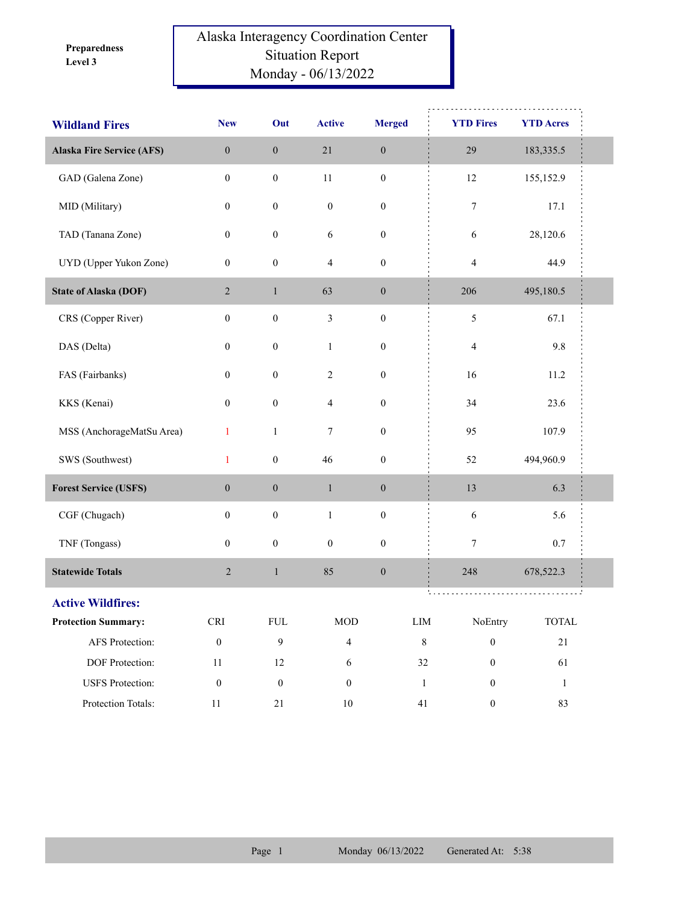**Level 3 Preparedness** 

## Alaska Interagency Coordination Center Situation Report Monday - 06/13/2022

| <b>Wildland Fires</b>            | <b>New</b>                  | Out              | <b>Active</b>           | <b>Merged</b>    | <b>YTD Fires</b>                 | <b>YTD Acres</b> |  |
|----------------------------------|-----------------------------|------------------|-------------------------|------------------|----------------------------------|------------------|--|
| <b>Alaska Fire Service (AFS)</b> | $\boldsymbol{0}$            | $\boldsymbol{0}$ | $21\,$                  | $\boldsymbol{0}$ | 29                               | 183, 335.5       |  |
| GAD (Galena Zone)                | $\boldsymbol{0}$            | $\boldsymbol{0}$ | $11\,$                  | $\boldsymbol{0}$ | 12                               | 155,152.9        |  |
| MID (Military)                   | $\boldsymbol{0}$            | $\boldsymbol{0}$ | $\boldsymbol{0}$        | $\boldsymbol{0}$ | $\boldsymbol{7}$                 | 17.1             |  |
| TAD (Tanana Zone)                | $\boldsymbol{0}$            | $\boldsymbol{0}$ | $\sqrt{6}$              | $\boldsymbol{0}$ | 6                                | 28,120.6         |  |
| UYD (Upper Yukon Zone)           | $\boldsymbol{0}$            | $\boldsymbol{0}$ | $\overline{\mathbf{4}}$ | $\boldsymbol{0}$ | $\overline{4}$                   | 44.9             |  |
| <b>State of Alaska (DOF)</b>     | $\overline{2}$              | $\mathbf{1}$     | 63                      | $\boldsymbol{0}$ | 206                              | 495,180.5        |  |
| CRS (Copper River)               | $\boldsymbol{0}$            | $\boldsymbol{0}$ | $\mathfrak{Z}$          | $\boldsymbol{0}$ | $\mathfrak{S}$                   | 67.1             |  |
| DAS (Delta)                      | $\boldsymbol{0}$            | $\boldsymbol{0}$ | $\mathbf{1}$            | $\boldsymbol{0}$ | $\overline{4}$                   | 9.8              |  |
| FAS (Fairbanks)                  | $\boldsymbol{0}$            | $\boldsymbol{0}$ | $\sqrt{2}$              | $\boldsymbol{0}$ | 16                               | 11.2             |  |
| KKS (Kenai)                      | $\boldsymbol{0}$            | $\boldsymbol{0}$ | 4                       | $\boldsymbol{0}$ | 34                               | 23.6             |  |
| MSS (AnchorageMatSu Area)        | $\mathbf{1}$                | $\mathbf{1}$     | 7                       | $\boldsymbol{0}$ | 95                               | 107.9            |  |
| SWS (Southwest)                  | $\mathbf{1}$                | $\boldsymbol{0}$ | 46                      | $\boldsymbol{0}$ | 52                               | 494,960.9        |  |
| <b>Forest Service (USFS)</b>     | $\boldsymbol{0}$            | $\boldsymbol{0}$ | $\,1$                   | $\boldsymbol{0}$ | 13                               | 6.3              |  |
| CGF (Chugach)                    | $\boldsymbol{0}$            | $\boldsymbol{0}$ | $\mathbf{1}$            | $\boldsymbol{0}$ | $\sqrt{6}$                       | 5.6              |  |
| TNF (Tongass)                    | $\boldsymbol{0}$            | $\boldsymbol{0}$ | $\boldsymbol{0}$        | $\boldsymbol{0}$ | 7                                | $0.7\,$          |  |
| <b>Statewide Totals</b>          | $\overline{c}$              | $\,1\,$          | 85                      | $\boldsymbol{0}$ | 248                              | 678,522.3        |  |
| <b>Active Wildfires:</b>         |                             |                  |                         |                  | ti Li<br>.                       |                  |  |
| <b>Protection Summary:</b>       | $\ensuremath{\mathsf{CRI}}$ | ${\rm FUL}$      | $\rm MOD$               |                  | ${\rm LIM}$<br>NoEntry           | <b>TOTAL</b>     |  |
| AFS Protection:                  | $\boldsymbol{0}$            | 9                | $\overline{4}$          |                  | $\,8\,$<br>$\boldsymbol{0}$      | $21\,$           |  |
| DOF Protection:                  | $11\,$                      | 12               | 6                       |                  | $32\,$<br>$\boldsymbol{0}$       | 61               |  |
| <b>USFS</b> Protection:          | $\boldsymbol{0}$            | $\boldsymbol{0}$ | $\boldsymbol{0}$        |                  | $\mathbf{1}$<br>$\boldsymbol{0}$ | $\mathbf{1}$     |  |
| Protection Totals:               | $11\,$                      | 21               | $10\,$                  |                  | 41<br>$\boldsymbol{0}$           | 83               |  |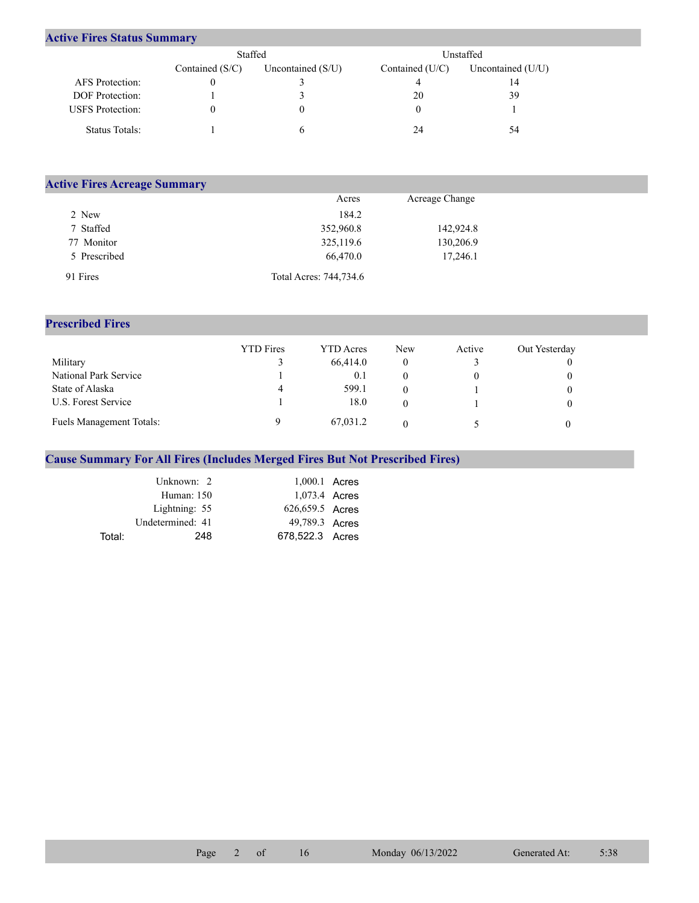## **Active Fires Status Summary**

|                         |                   | Staffed<br>Unstaffed |                   |                   |
|-------------------------|-------------------|----------------------|-------------------|-------------------|
|                         | Contained $(S/C)$ | Uncontained $(S/U)$  | Contained $(U/C)$ | Uncontained (U/U) |
| AFS Protection:         |                   |                      |                   | 14                |
| DOF Protection:         |                   |                      | 20                | 39                |
| <b>USFS</b> Protection: |                   |                      |                   |                   |
| Status Totals:          |                   |                      | 24                | 54                |

| <b>Active Fires Acreage Summary</b> |                        |                |  |
|-------------------------------------|------------------------|----------------|--|
|                                     | Acres                  | Acreage Change |  |
| 2 New                               | 184.2                  |                |  |
| 7 Staffed                           | 352,960.8              | 142,924.8      |  |
| 77 Monitor                          | 325,119.6              | 130,206.9      |  |
| 5 Prescribed                        | 66,470.0               | 17,246.1       |  |
| 91 Fires                            | Total Acres: 744,734.6 |                |  |

## **Prescribed Fires**

|                          | <b>YTD</b> Fires | <b>YTD</b> Acres | <b>New</b> | Active | Out Yesterday |
|--------------------------|------------------|------------------|------------|--------|---------------|
| Military                 |                  | 66,414.0         |            |        |               |
| National Park Service    |                  | 0.1              |            |        |               |
| State of Alaska          | 4                | 599.1            |            |        |               |
| U.S. Forest Service      |                  | 18.0             |            |        |               |
| Fuels Management Totals: |                  | 67,031.2         |            |        |               |

## **Cause Summary For All Fires (Includes Merged Fires But Not Prescribed Fires)**

|        | Unknown: 2       | $1,000.1$ Acres |  |
|--------|------------------|-----------------|--|
|        | Human: 150       | 1,073.4 Acres   |  |
|        | Lightning: 55    | 626,659.5 Acres |  |
|        | Undetermined: 41 | 49,789.3 Acres  |  |
| Total: | 248              | 678,522.3 Acres |  |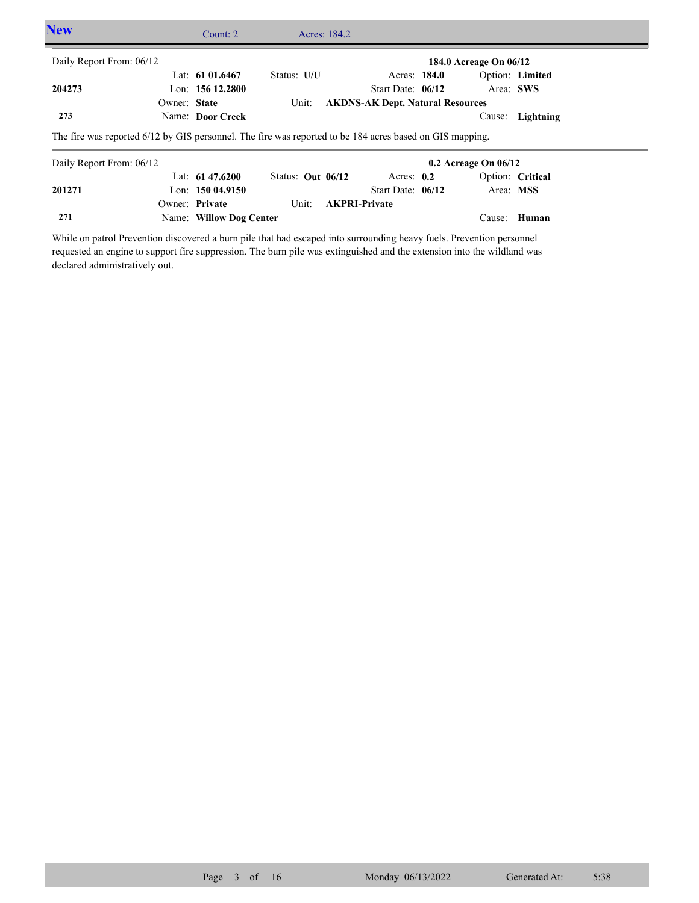| <b>New</b>               |                                                                                                                       | Count: $2 \overline{ }$ |                     | Acres: 184.2         |                                         |              |                          |                  |  |
|--------------------------|-----------------------------------------------------------------------------------------------------------------------|-------------------------|---------------------|----------------------|-----------------------------------------|--------------|--------------------------|------------------|--|
| Daily Report From: 06/12 |                                                                                                                       |                         |                     |                      |                                         |              | 184.0 Acreage On 06/12   |                  |  |
|                          |                                                                                                                       | Lat: $6101.6467$        | Status: U/U         |                      |                                         | Acres: 184.0 |                          | Option: Limited  |  |
| 204273                   |                                                                                                                       | Lon: $15612.2800$       |                     |                      | Start Date: $06/12$                     |              | Area: SWS                |                  |  |
|                          | Owner: State                                                                                                          |                         | Unit:               |                      | <b>AKDNS-AK Dept. Natural Resources</b> |              |                          |                  |  |
| 273                      |                                                                                                                       | Name: Door Creek        |                     |                      |                                         |              | Cause:                   | Lightning        |  |
| Daily Report From: 06/12 | The fire was reported 6/12 by GIS personnel. The fire was reported to be 184 acres based on GIS mapping.              |                         |                     |                      |                                         |              | $0.2$ Acreage On $06/12$ |                  |  |
|                          |                                                                                                                       | Lat: $61\,47.6200$      | Status: Out $06/12$ |                      | Acres: $0.2$                            |              |                          | Option: Critical |  |
| 201271                   |                                                                                                                       | Lon: $15004.9150$       |                     |                      | Start Date: $06/12$                     |              | Area: MSS                |                  |  |
|                          |                                                                                                                       | Owner: Private          | Unit:               | <b>AKPRI-Private</b> |                                         |              |                          |                  |  |
| 271                      |                                                                                                                       | Name: Willow Dog Center |                     |                      |                                         |              | Cause:                   | Human            |  |
|                          | While on patrol Prevention discovered a burn pile that had escaped into surrounding heavy fuels. Prevention personnel |                         |                     |                      |                                         |              |                          |                  |  |

requested an engine to support fire suppression. The burn pile was extinguished and the extension into the wildland was declared administratively out.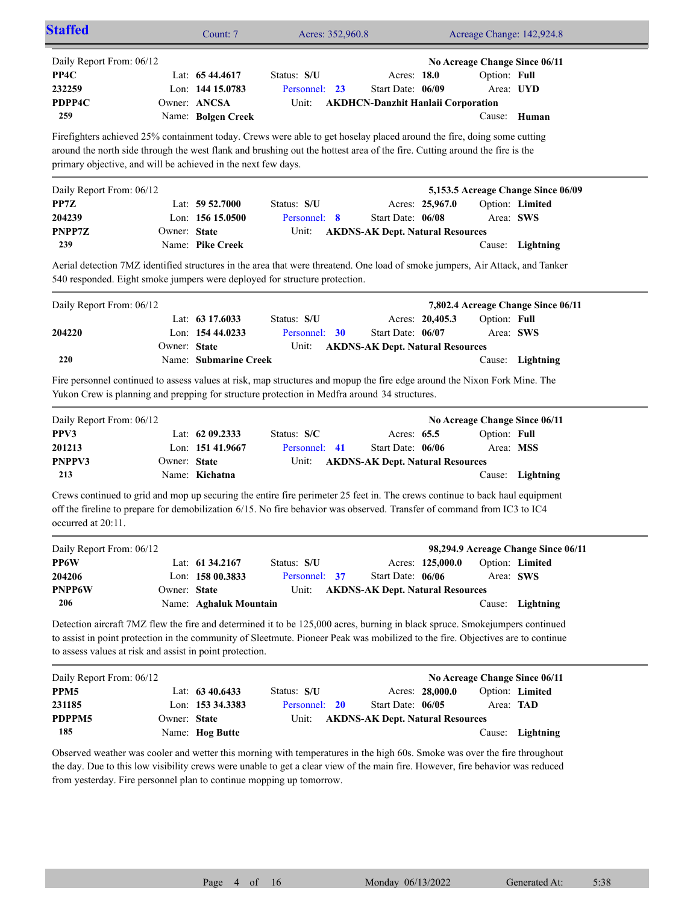| <b>Staffed</b>                                                                                                                                                                          |              | Count: 7                                                                   | Acres: 352,960.8                                                                                                                                                                                                                                            |                                                                                 | Acreage Change: 142,924.8                                                                  |                              |
|-----------------------------------------------------------------------------------------------------------------------------------------------------------------------------------------|--------------|----------------------------------------------------------------------------|-------------------------------------------------------------------------------------------------------------------------------------------------------------------------------------------------------------------------------------------------------------|---------------------------------------------------------------------------------|--------------------------------------------------------------------------------------------|------------------------------|
| Daily Report From: 06/12<br>PP4C<br>232259<br>PDPP4C<br>259                                                                                                                             |              | Lat: $6544.4617$<br>Lon: 144 15.0783<br>Owner: ANCSA<br>Name: Bolgen Creek | Status: S/U<br>Personnel: 23<br>Unit:                                                                                                                                                                                                                       | Acres: 18.0<br>Start Date: 06/09                                                | No Acreage Change Since 06/11<br>Option: Full<br><b>AKDHCN-Danzhit Hanlaii Corporation</b> | Area: UYD<br>Cause: Human    |
| primary objective, and will be achieved in the next few days.                                                                                                                           |              |                                                                            | Firefighters achieved 25% containment today. Crews were able to get hoselay placed around the fire, doing some cutting<br>around the north side through the west flank and brushing out the hottest area of the fire. Cutting around the fire is the        |                                                                                 |                                                                                            |                              |
| Daily Report From: 06/12                                                                                                                                                                |              |                                                                            |                                                                                                                                                                                                                                                             |                                                                                 | 5,153.5 Acreage Change Since 06/09                                                         |                              |
| PP7Z<br>204239<br>PNPP7Z                                                                                                                                                                | Owner: State | Lat: $59\,52.7000$<br>Lon: $15615.0500$                                    | Status: S/U<br>Personnel: 8<br>Unit:                                                                                                                                                                                                                        | Acres: 25,967.0<br>Start Date: 06/08<br><b>AKDNS-AK Dept. Natural Resources</b> |                                                                                            | Option: Limited<br>Area: SWS |
| 239                                                                                                                                                                                     |              | Name: Pike Creek                                                           |                                                                                                                                                                                                                                                             |                                                                                 |                                                                                            | Cause: Lightning             |
|                                                                                                                                                                                         |              |                                                                            | Aerial detection 7MZ identified structures in the area that were threatend. One load of smoke jumpers, Air Attack, and Tanker<br>540 responded. Eight smoke jumpers were deployed for structure protection.                                                 |                                                                                 |                                                                                            |                              |
| Daily Report From: 06/12                                                                                                                                                                |              |                                                                            |                                                                                                                                                                                                                                                             |                                                                                 | 7,802.4 Acreage Change Since 06/11                                                         |                              |
|                                                                                                                                                                                         |              | Lat: $63\,17.6033$                                                         | Status: S/U                                                                                                                                                                                                                                                 | Acres: 20,405.3                                                                 | Option: Full                                                                               |                              |
| 204220                                                                                                                                                                                  |              | Lon: 154 44.0233                                                           | Personnel: 30                                                                                                                                                                                                                                               | Start Date: 06/07                                                               |                                                                                            | Area: SWS                    |
| 220                                                                                                                                                                                     | Owner: State | Name: Submarine Creek                                                      | Unit:                                                                                                                                                                                                                                                       | <b>AKDNS-AK Dept. Natural Resources</b>                                         |                                                                                            | Cause: Lightning             |
|                                                                                                                                                                                         |              |                                                                            | Fire personnel continued to assess values at risk, map structures and mopup the fire edge around the Nixon Fork Mine. The<br>Yukon Crew is planning and prepping for structure protection in Medfra around 34 structures.                                   |                                                                                 |                                                                                            |                              |
| Daily Report From: 06/12                                                                                                                                                                |              |                                                                            |                                                                                                                                                                                                                                                             |                                                                                 | No Acreage Change Since 06/11                                                              |                              |
| PPV3                                                                                                                                                                                    |              | Lat: 62 09.2333                                                            | Status: S/C                                                                                                                                                                                                                                                 | Acres: 65.5                                                                     | Option: Full                                                                               |                              |
| 201213                                                                                                                                                                                  |              | Lon: 151 41.9667                                                           | Personnel: 41                                                                                                                                                                                                                                               | Start Date: 06/06                                                               |                                                                                            | Area: MSS                    |
| PNPPV3<br>213                                                                                                                                                                           | Owner: State | Name: Kichatna                                                             | Unit:                                                                                                                                                                                                                                                       | <b>AKDNS-AK Dept. Natural Resources</b>                                         |                                                                                            | Cause: Lightning             |
| Crews continued to grid and mop up securing the entire fire perimeter 25 feet in. The crews continue to back haul equipment<br>occurred at 20:11.                                       |              |                                                                            | off the fireline to prepare for demobilization 6/15. No fire behavior was observed. Transfer of command from IC3 to IC4                                                                                                                                     |                                                                                 |                                                                                            |                              |
| Daily Report From: 06/12                                                                                                                                                                |              |                                                                            |                                                                                                                                                                                                                                                             |                                                                                 | 98,294.9 Acreage Change Since 06/11                                                        |                              |
| PP6W                                                                                                                                                                                    |              | Lat: 61 34.2167                                                            | Status: S/U                                                                                                                                                                                                                                                 | Acres: 125,000.0                                                                |                                                                                            | Option: Limited              |
| 204206<br><b>PNPP6W</b>                                                                                                                                                                 | Owner: State | Lon: 158 00.3833                                                           | Personnel: 37<br>Unit:                                                                                                                                                                                                                                      | Start Date: 06/06                                                               |                                                                                            | Area: SWS                    |
| 206                                                                                                                                                                                     |              | Name: Aghaluk Mountain                                                     |                                                                                                                                                                                                                                                             | <b>AKDNS-AK Dept. Natural Resources</b>                                         |                                                                                            | Cause: Lightning             |
| Detection aircraft 7MZ flew the fire and determined it to be 125,000 acres, burning in black spruce. Smokejumpers continued<br>to assess values at risk and assist in point protection. |              |                                                                            | to assist in point protection in the community of Sleetmute. Pioneer Peak was mobilized to the fire. Objectives are to continue                                                                                                                             |                                                                                 |                                                                                            |                              |
| Daily Report From: 06/12                                                                                                                                                                |              |                                                                            |                                                                                                                                                                                                                                                             |                                                                                 | No Acreage Change Since 06/11                                                              |                              |
| PPM <sub>5</sub>                                                                                                                                                                        |              | Lat: 63 40.6433                                                            | Status: S/U                                                                                                                                                                                                                                                 | Acres: 28,000.0                                                                 |                                                                                            | Option: Limited              |
| 231185                                                                                                                                                                                  |              | Lon: 153 34.3383                                                           | Personnel: 20                                                                                                                                                                                                                                               | Start Date: 06/05                                                               |                                                                                            | Area: TAD                    |
| PDPPM5<br>185                                                                                                                                                                           | Owner: State | Name: Hog Butte                                                            | Unit:                                                                                                                                                                                                                                                       | <b>AKDNS-AK Dept. Natural Resources</b>                                         |                                                                                            | Cause: Lightning             |
| from yesterday. Fire personnel plan to continue mopping up tomorrow.                                                                                                                    |              |                                                                            | Observed weather was cooler and wetter this morning with temperatures in the high 60s. Smoke was over the fire throughout<br>the day. Due to this low visibility crews were unable to get a clear view of the main fire. However, fire behavior was reduced |                                                                                 |                                                                                            |                              |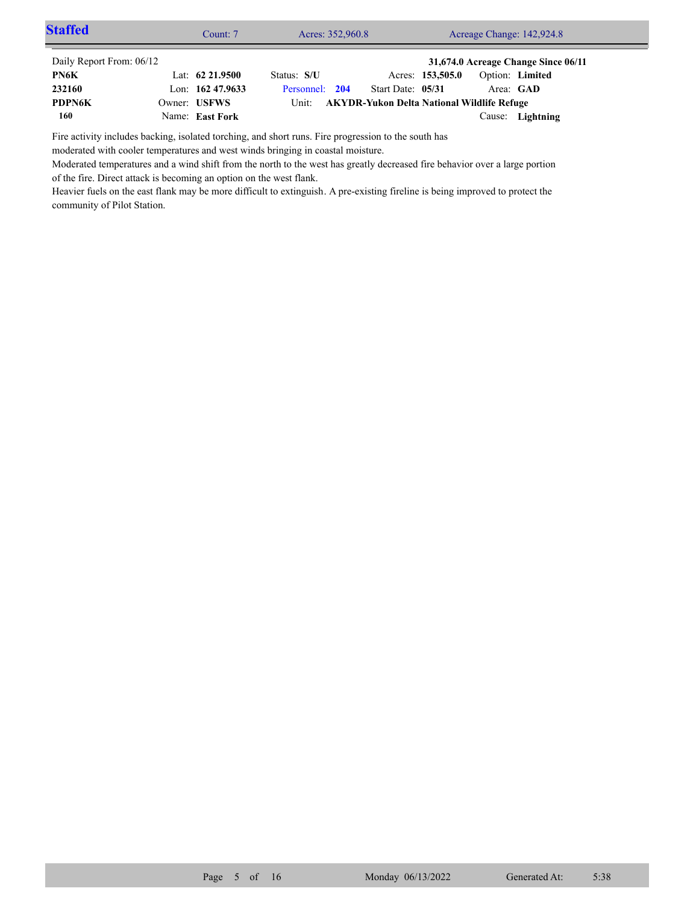| <b>Staffed</b>           | Count: 7           | Acres: 352,960.8 |                                            |                  |           | Acreage Change: 142,924.8           |  |
|--------------------------|--------------------|------------------|--------------------------------------------|------------------|-----------|-------------------------------------|--|
| Daily Report From: 06/12 |                    |                  |                                            |                  |           | 31,674.0 Acreage Change Since 06/11 |  |
| PN6K                     | Lat: $62\,21.9500$ | Status: S/U      |                                            | Acres: 153,505.0 |           | Option: Limited                     |  |
| 232160                   | Lon: $16247.9633$  | Personnel: 204   | Start Date: 05/31                          |                  | Area: GAD |                                     |  |
| <b>PDPN6K</b>            | Owner: USFWS       | Unit:            | AKYDR-Yukon Delta National Wildlife Refuge |                  |           |                                     |  |
| 160                      | Name: East Fork    |                  |                                            |                  |           | Cause: Lightning                    |  |

Fire activity includes backing, isolated torching, and short runs. Fire progression to the south has

moderated with cooler temperatures and west winds bringing in coastal moisture.

Moderated temperatures and a wind shift from the north to the west has greatly decreased fire behavior over a large portion of the fire. Direct attack is becoming an option on the west flank.

Heavier fuels on the east flank may be more difficult to extinguish. A pre-existing fireline is being improved to protect the community of Pilot Station.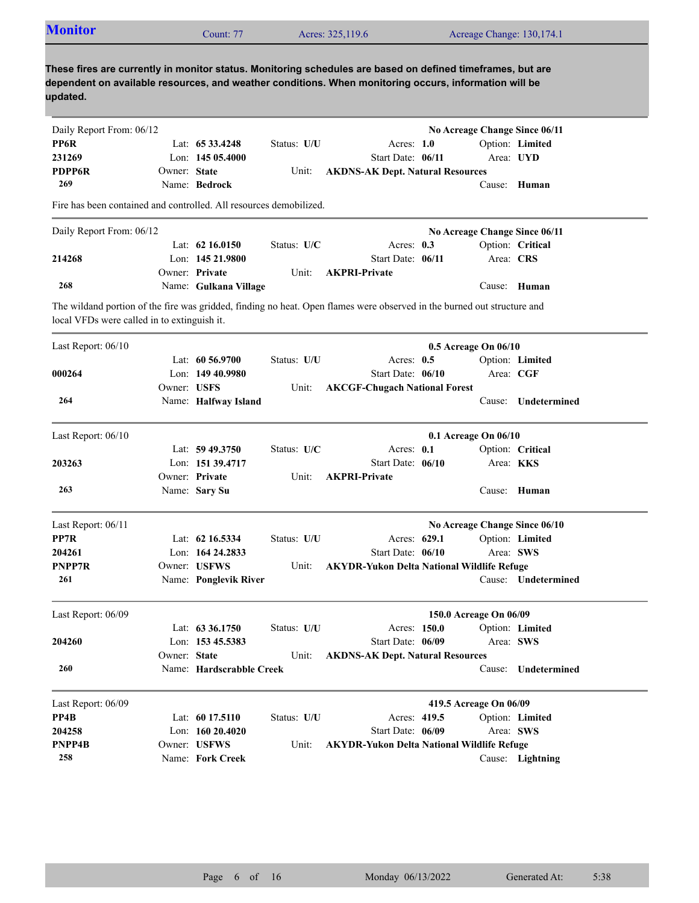| <b>Monitor</b>                                                     |              | Count: 77                |             | Acres: 325,119.6                                                                                                                                                                                                    | Acreage Change: 130,174.1     |                     |
|--------------------------------------------------------------------|--------------|--------------------------|-------------|---------------------------------------------------------------------------------------------------------------------------------------------------------------------------------------------------------------------|-------------------------------|---------------------|
| updated.                                                           |              |                          |             | These fires are currently in monitor status. Monitoring schedules are based on defined timeframes, but are<br>dependent on available resources, and weather conditions. When monitoring occurs, information will be |                               |                     |
| Daily Report From: 06/12                                           |              |                          |             |                                                                                                                                                                                                                     | No Acreage Change Since 06/11 |                     |
| PP6R                                                               |              | Lat: $6533.4248$         | Status: U/U | Acres: $1.0$                                                                                                                                                                                                        |                               | Option: Limited     |
| 231269                                                             |              | Lon: $14505.4000$        |             | Start Date: 06/11                                                                                                                                                                                                   | Area: UYD                     |                     |
| <b>PDPP6R</b>                                                      | Owner: State |                          | Unit:       | <b>AKDNS-AK Dept. Natural Resources</b>                                                                                                                                                                             |                               |                     |
| 269                                                                |              | Name: Bedrock            |             |                                                                                                                                                                                                                     |                               | Cause: Human        |
| Fire has been contained and controlled. All resources demobilized. |              |                          |             |                                                                                                                                                                                                                     |                               |                     |
| Daily Report From: 06/12                                           |              |                          |             |                                                                                                                                                                                                                     | No Acreage Change Since 06/11 |                     |
|                                                                    |              | Lat: $62\,16.0150$       | Status: U/C | Acres: $0.3$                                                                                                                                                                                                        |                               | Option: Critical    |
| 214268                                                             |              | Lon: 145 21.9800         |             | Start Date: 06/11                                                                                                                                                                                                   | Area: CRS                     |                     |
|                                                                    |              | Owner: Private           | Unit:       | <b>AKPRI-Private</b>                                                                                                                                                                                                |                               |                     |
| 268                                                                |              | Name: Gulkana Village    |             |                                                                                                                                                                                                                     |                               | Cause: Human        |
| local VFDs were called in to extinguish it.                        |              |                          |             | The wildand portion of the fire was gridded, finding no heat. Open flames were observed in the burned out structure and                                                                                             |                               |                     |
| Last Report: 06/10                                                 |              |                          |             |                                                                                                                                                                                                                     | 0.5 Acreage On 06/10          |                     |
|                                                                    |              | Lat: $60\,56.9700$       | Status: U/U | Acres: $0.5$                                                                                                                                                                                                        |                               | Option: Limited     |
| 000264                                                             |              | Lon: 149 40.9980         |             | Start Date: 06/10                                                                                                                                                                                                   | Area: CGF                     |                     |
|                                                                    | Owner: USFS  |                          | Unit:       | <b>AKCGF-Chugach National Forest</b>                                                                                                                                                                                |                               |                     |
| 264                                                                |              | Name: Halfway Island     |             |                                                                                                                                                                                                                     | Cause:                        | Undetermined        |
|                                                                    |              |                          |             |                                                                                                                                                                                                                     |                               |                     |
| Last Report: 06/10                                                 |              |                          |             |                                                                                                                                                                                                                     | 0.1 Acreage On 06/10          |                     |
|                                                                    |              | Lat: $59\,49.3750$       | Status: U/C | Acres: 0.1                                                                                                                                                                                                          |                               | Option: Critical    |
| 203263                                                             |              | Lon: 151 39.4717         |             | Start Date: 06/10                                                                                                                                                                                                   | Area: KKS                     |                     |
|                                                                    |              | Owner: Private           | Unit:       | <b>AKPRI-Private</b>                                                                                                                                                                                                |                               |                     |
| 263                                                                |              | Name: Sary Su            |             |                                                                                                                                                                                                                     |                               | Cause: Human        |
| Last Report: 06/11                                                 |              |                          |             |                                                                                                                                                                                                                     | No Acreage Change Since 06/10 |                     |
| PP7R                                                               |              | Lat: 62 16.5334          | Status: U/U | Acres: 629.1                                                                                                                                                                                                        |                               | Option: Limited     |
| 204261                                                             |              | Lon: 164 24.2833         |             | Start Date: 06/10                                                                                                                                                                                                   | Area: SWS                     |                     |
| PNPP7R                                                             |              | Owner: USFWS             | Unit:       | <b>AKYDR-Yukon Delta National Wildlife Refuge</b>                                                                                                                                                                   |                               |                     |
| 261                                                                |              | Name: Ponglevik River    |             |                                                                                                                                                                                                                     |                               | Cause: Undetermined |
|                                                                    |              |                          |             |                                                                                                                                                                                                                     |                               |                     |
| Last Report: 06/09                                                 |              |                          |             |                                                                                                                                                                                                                     | 150.0 Acreage On 06/09        |                     |
|                                                                    |              | Lat: 63 36.1750          | Status: U/U | Acres: 150.0                                                                                                                                                                                                        |                               | Option: Limited     |
| 204260                                                             |              | Lon: $153\,45.5383$      |             | Start Date: 06/09                                                                                                                                                                                                   | Area: SWS                     |                     |
|                                                                    | Owner: State |                          | Unit:       | <b>AKDNS-AK Dept. Natural Resources</b>                                                                                                                                                                             |                               |                     |
| 260                                                                |              | Name: Hardscrabble Creek |             |                                                                                                                                                                                                                     |                               | Cause: Undetermined |
| Last Report: 06/09                                                 |              |                          |             |                                                                                                                                                                                                                     | 419.5 Acreage On 06/09        |                     |
| PP4B                                                               |              | Lat: 60 17.5110          | Status: U/U | Acres: 419.5                                                                                                                                                                                                        |                               | Option: Limited     |
| 204258                                                             |              | Lon: 160 20.4020         |             | Start Date: 06/09                                                                                                                                                                                                   | Area: SWS                     |                     |
| PNPP4B                                                             |              | Owner: USFWS             | Unit:       | <b>AKYDR-Yukon Delta National Wildlife Refuge</b>                                                                                                                                                                   |                               |                     |
| 258                                                                |              | Name: Fork Creek         |             |                                                                                                                                                                                                                     |                               | Cause: Lightning    |
|                                                                    |              |                          |             |                                                                                                                                                                                                                     |                               |                     |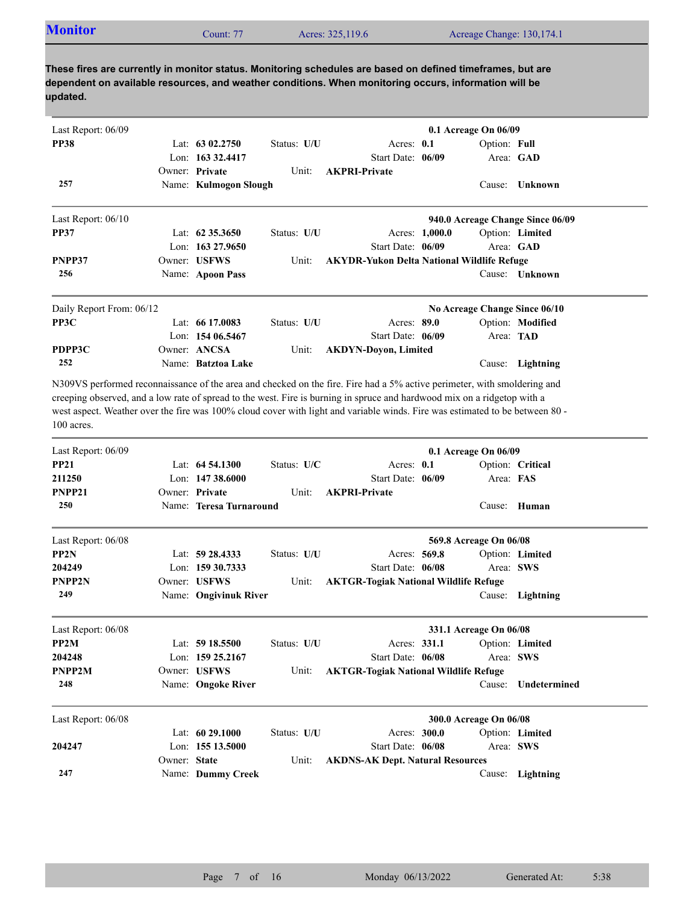| <b>Monitor</b> | Count: 77 | Acres: 325,119.6 |                           |
|----------------|-----------|------------------|---------------------------|
|                |           |                  | Acreage Change: 130,174.1 |

| Last Report: 06/09       |                         |             |                                                                                                                                                                                                                                                                                                                                                                                      |                | 0.1 Acreage On 06/09          |                                  |
|--------------------------|-------------------------|-------------|--------------------------------------------------------------------------------------------------------------------------------------------------------------------------------------------------------------------------------------------------------------------------------------------------------------------------------------------------------------------------------------|----------------|-------------------------------|----------------------------------|
| <b>PP38</b>              | Lat: $6302.2750$        | Status: U/U | Acres: 0.1                                                                                                                                                                                                                                                                                                                                                                           |                | Option: Full                  |                                  |
|                          | Lon: 163 32.4417        |             | Start Date: 06/09                                                                                                                                                                                                                                                                                                                                                                    |                |                               | Area: GAD                        |
|                          | Owner: Private          | Unit:       | <b>AKPRI-Private</b>                                                                                                                                                                                                                                                                                                                                                                 |                |                               |                                  |
| 257                      | Name: Kulmogon Slough   |             |                                                                                                                                                                                                                                                                                                                                                                                      |                | Cause:                        | <b>Unknown</b>                   |
| Last Report: 06/10       |                         |             |                                                                                                                                                                                                                                                                                                                                                                                      |                |                               | 940.0 Acreage Change Since 06/09 |
| <b>PP37</b>              | Lat: 62 35.3650         | Status: U/U |                                                                                                                                                                                                                                                                                                                                                                                      | Acres: 1,000.0 |                               | Option: Limited                  |
|                          | Lon: 163 27.9650        |             | Start Date: 06/09                                                                                                                                                                                                                                                                                                                                                                    |                |                               | Area: GAD                        |
| PNPP37                   | Owner: USFWS            | Unit:       | <b>AKYDR-Yukon Delta National Wildlife Refuge</b>                                                                                                                                                                                                                                                                                                                                    |                |                               |                                  |
| 256                      | Name: Apoon Pass        |             |                                                                                                                                                                                                                                                                                                                                                                                      |                |                               | Cause: <b>Unknown</b>            |
| Daily Report From: 06/12 |                         |             |                                                                                                                                                                                                                                                                                                                                                                                      |                | No Acreage Change Since 06/10 |                                  |
| PP3C                     | Lat: 66 17.0083         | Status: U/U | Acres: 89.0                                                                                                                                                                                                                                                                                                                                                                          |                |                               | Option: Modified                 |
|                          | Lon: 154 06.5467        |             | Start Date: 06/09                                                                                                                                                                                                                                                                                                                                                                    |                | Area: TAD                     |                                  |
| PDPP3C                   | Owner: ANCSA            | Unit:       | <b>AKDYN-Doyon, Limited</b>                                                                                                                                                                                                                                                                                                                                                          |                |                               |                                  |
| 252                      | Name: Batztoa Lake      |             |                                                                                                                                                                                                                                                                                                                                                                                      |                | Cause:                        | Lightning                        |
| 100 acres.               |                         |             | N309VS performed reconnaissance of the area and checked on the fire. Fire had a 5% active perimeter, with smoldering and<br>creeping observed, and a low rate of spread to the west. Fire is burning in spruce and hardwood mix on a ridgetop with a<br>west aspect. Weather over the fire was 100% cloud cover with light and variable winds. Fire was estimated to be between 80 - |                |                               |                                  |
| Last Report: 06/09       |                         |             |                                                                                                                                                                                                                                                                                                                                                                                      |                | 0.1 Acreage On 06/09          |                                  |
| <b>PP21</b>              | Lat: 64 54.1300         | Status: U/C | Acres: 0.1                                                                                                                                                                                                                                                                                                                                                                           |                |                               | Option: Critical                 |
| 211250                   | Lon: 147 38.6000        |             | Start Date: 06/09                                                                                                                                                                                                                                                                                                                                                                    |                | Area: FAS                     |                                  |
| PNPP21                   | Owner: Private          | Unit:       | <b>AKPRI-Private</b>                                                                                                                                                                                                                                                                                                                                                                 |                |                               |                                  |
| 250                      | Name: Teresa Turnaround |             |                                                                                                                                                                                                                                                                                                                                                                                      |                |                               | Cause: Human                     |
| Last Report: 06/08       |                         |             |                                                                                                                                                                                                                                                                                                                                                                                      |                | 569.8 Acreage On 06/08        |                                  |
| PP <sub>2N</sub>         | Lat: 59 28.4333         | Status: U/U | Acres: 569.8                                                                                                                                                                                                                                                                                                                                                                         |                |                               | Option: Limited                  |
| 204249                   | Lon: $15930.7333$       |             | Start Date: 06/08                                                                                                                                                                                                                                                                                                                                                                    |                |                               | Area: SWS                        |
| PNPP2N                   | Owner: USFWS            | Unit:       | <b>AKTGR-Togiak National Wildlife Refuge</b>                                                                                                                                                                                                                                                                                                                                         |                |                               |                                  |
| 249                      | Name: Ongivinuk River   |             |                                                                                                                                                                                                                                                                                                                                                                                      |                | Cause:                        | Lightning                        |

| Last Report: 06/08 |                    |             |                                              |              | 331.1 Acreage On 06/08 |                 |
|--------------------|--------------------|-------------|----------------------------------------------|--------------|------------------------|-----------------|
| PP <sub>2</sub> M  | Lat: 59 18.5500    | Status: U/U |                                              | Acres: 331.1 |                        | Option: Limited |
| 204248             | Lon: $15925.2167$  |             | Start Date: 06/08                            |              |                        | Area: SWS       |
| PNPP2M             | Owner: USFWS       | Unit:       | <b>AKTGR-Togiak National Wildlife Refuge</b> |              |                        |                 |
| 248                | Name: Ongoke River |             |                                              |              | Cause:                 | Undetermined    |

| Last Report: 06/08 |              |                   |             |                                         | 300.0 Acreage On 06/08 |                  |  |
|--------------------|--------------|-------------------|-------------|-----------------------------------------|------------------------|------------------|--|
|                    |              | Lat: 60 29.1000   | Status: U/U | Acres: 300.0                            |                        | Option: Limited  |  |
| 204247             |              | Lon: $15513.5000$ |             | Start Date: 06/08                       |                        | Area: SWS        |  |
|                    | Owner: State |                   | Unit:       | <b>AKDNS-AK Dept. Natural Resources</b> |                        |                  |  |
| 247                |              | Name: Dummy Creek |             |                                         |                        | Cause: Lightning |  |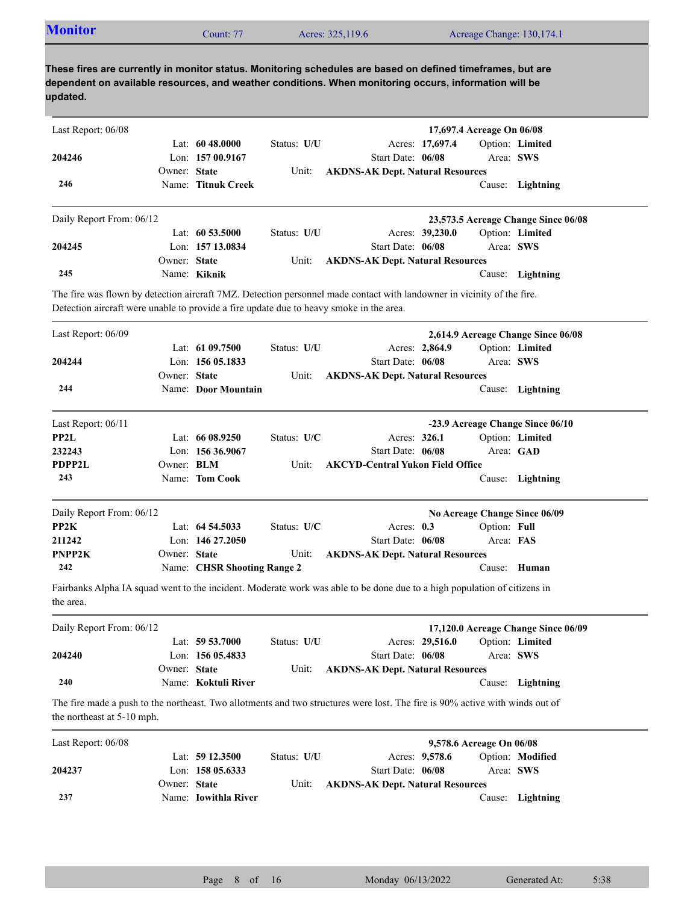| <b>Monitor</b>                                                                          |                   | Count: 77                   |               | Acres: 325,119.6                                                                                                                                                                                                    |                 |                           | Acreage Change: 130,174.1           |
|-----------------------------------------------------------------------------------------|-------------------|-----------------------------|---------------|---------------------------------------------------------------------------------------------------------------------------------------------------------------------------------------------------------------------|-----------------|---------------------------|-------------------------------------|
| updated.                                                                                |                   |                             |               | These fires are currently in monitor status. Monitoring schedules are based on defined timeframes, but are<br>dependent on available resources, and weather conditions. When monitoring occurs, information will be |                 |                           |                                     |
| Last Report: 06/08                                                                      |                   |                             |               |                                                                                                                                                                                                                     |                 | 17,697.4 Acreage On 06/08 |                                     |
|                                                                                         |                   | Lat: $6048,0000$            | Status: U/U   |                                                                                                                                                                                                                     | Acres: 17,697.4 |                           | Option: Limited                     |
| 204246                                                                                  |                   | Lon: 157 00.9167            |               | Start Date: 06/08                                                                                                                                                                                                   |                 |                           | Area: SWS                           |
|                                                                                         | Owner: State      |                             | Unit:         | <b>AKDNS-AK Dept. Natural Resources</b>                                                                                                                                                                             |                 |                           |                                     |
| 246                                                                                     |                   | Name: Titnuk Creek          |               |                                                                                                                                                                                                                     |                 |                           | Cause: Lightning                    |
| Daily Report From: 06/12                                                                |                   |                             |               |                                                                                                                                                                                                                     |                 |                           | 23,573.5 Acreage Change Since 06/08 |
|                                                                                         |                   | Lat: 60 53.5000             | Status: U/U   |                                                                                                                                                                                                                     | Acres: 39,230.0 |                           | Option: Limited                     |
| 204245                                                                                  |                   | Lon: 157 13.0834            |               | Start Date: 06/08                                                                                                                                                                                                   |                 |                           | Area: SWS                           |
|                                                                                         | Owner: State      |                             | Unit:         | <b>AKDNS-AK Dept. Natural Resources</b>                                                                                                                                                                             |                 |                           |                                     |
| 245                                                                                     |                   | Name: Kiknik                |               |                                                                                                                                                                                                                     |                 |                           | Cause: Lightning                    |
| Detection aircraft were unable to provide a fire update due to heavy smoke in the area. |                   |                             |               | The fire was flown by detection aircraft 7MZ. Detection personnel made contact with landowner in vicinity of the fire.                                                                                              |                 |                           |                                     |
| Last Report: 06/09                                                                      |                   |                             |               |                                                                                                                                                                                                                     |                 |                           | 2,614.9 Acreage Change Since 06/08  |
|                                                                                         |                   | Lat: $6109.7500$            | Status: U/U   |                                                                                                                                                                                                                     | Acres: 2,864.9  |                           | Option: Limited                     |
| 204244                                                                                  |                   | Lon: $15605.1833$           |               | Start Date: 06/08                                                                                                                                                                                                   |                 |                           | Area: SWS                           |
|                                                                                         | Owner: State      |                             | Unit:         | <b>AKDNS-AK Dept. Natural Resources</b>                                                                                                                                                                             |                 |                           |                                     |
| 244                                                                                     |                   | Name: Door Mountain         |               |                                                                                                                                                                                                                     |                 |                           | Cause: Lightning                    |
| Last Report: 06/11                                                                      |                   |                             |               |                                                                                                                                                                                                                     |                 |                           | -23.9 Acreage Change Since 06/10    |
| PP2L                                                                                    |                   | Lat: $6608.9250$            | Status: U/C   | Acres: 326.1                                                                                                                                                                                                        |                 |                           | Option: Limited                     |
| 232243                                                                                  |                   | Lon: $15636.9067$           |               | Start Date: 06/08                                                                                                                                                                                                   |                 |                           | Area: GAD                           |
| PDPP2L                                                                                  | Owner: <b>BLM</b> |                             | Unit:         | <b>AKCYD-Central Yukon Field Office</b>                                                                                                                                                                             |                 |                           |                                     |
| 243                                                                                     |                   | Name: Tom Cook              |               |                                                                                                                                                                                                                     |                 |                           | Cause: Lightning                    |
| Daily Report From: 06/12                                                                |                   |                             |               |                                                                                                                                                                                                                     |                 |                           | No Acreage Change Since 06/09       |
| PP2K                                                                                    |                   | Lat: $64\,54.5033$          | Status: $U/C$ | Acres: $0.3$                                                                                                                                                                                                        |                 | Option: Full              |                                     |
| 211242                                                                                  |                   | Lon: 146 27.2050            |               | Start Date: 06/08                                                                                                                                                                                                   |                 | Area: FAS                 |                                     |
| PNPP2K                                                                                  | Owner: State      |                             | Unit:         | <b>AKDNS-AK Dept. Natural Resources</b>                                                                                                                                                                             |                 |                           |                                     |
| 242                                                                                     |                   | Name: CHSR Shooting Range 2 |               |                                                                                                                                                                                                                     |                 |                           | Cause: Human                        |
| the area.                                                                               |                   |                             |               | Fairbanks Alpha IA squad went to the incident. Moderate work was able to be done due to a high population of citizens in                                                                                            |                 |                           |                                     |
| Daily Report From: 06/12                                                                |                   |                             |               |                                                                                                                                                                                                                     |                 |                           | 17,120.0 Acreage Change Since 06/09 |
|                                                                                         |                   | Lat: 59 53.7000             | Status: U/U   |                                                                                                                                                                                                                     | Acres: 29,516.0 |                           | Option: Limited                     |
| 204240                                                                                  |                   | Lon: 156 05.4833            |               | Start Date: 06/08                                                                                                                                                                                                   |                 |                           | Area: SWS                           |
|                                                                                         | Owner: State      |                             | Unit:         | <b>AKDNS-AK Dept. Natural Resources</b>                                                                                                                                                                             |                 |                           |                                     |
| 240                                                                                     |                   | Name: Koktuli River         |               |                                                                                                                                                                                                                     |                 |                           | Cause: Lightning                    |
| the northeast at 5-10 mph.                                                              |                   |                             |               | The fire made a push to the northeast. Two allotments and two structures were lost. The fire is 90% active with winds out of                                                                                        |                 |                           |                                     |
| Last Report: 06/08                                                                      |                   |                             |               |                                                                                                                                                                                                                     |                 | 9,578.6 Acreage On 06/08  |                                     |
|                                                                                         |                   | Lat: $5912.3500$            | Status: U/U   |                                                                                                                                                                                                                     | Acres: 9,578.6  |                           | Option: Modified                    |
| 204237                                                                                  |                   | Lon: 158 05.6333            |               | Start Date: 06/08                                                                                                                                                                                                   |                 |                           | Area: SWS                           |
|                                                                                         | Owner: State      |                             | Unit:         | <b>AKDNS-AK Dept. Natural Resources</b>                                                                                                                                                                             |                 |                           |                                     |
| 237                                                                                     |                   | Name: Iowithla River        |               |                                                                                                                                                                                                                     |                 |                           | Cause: Lightning                    |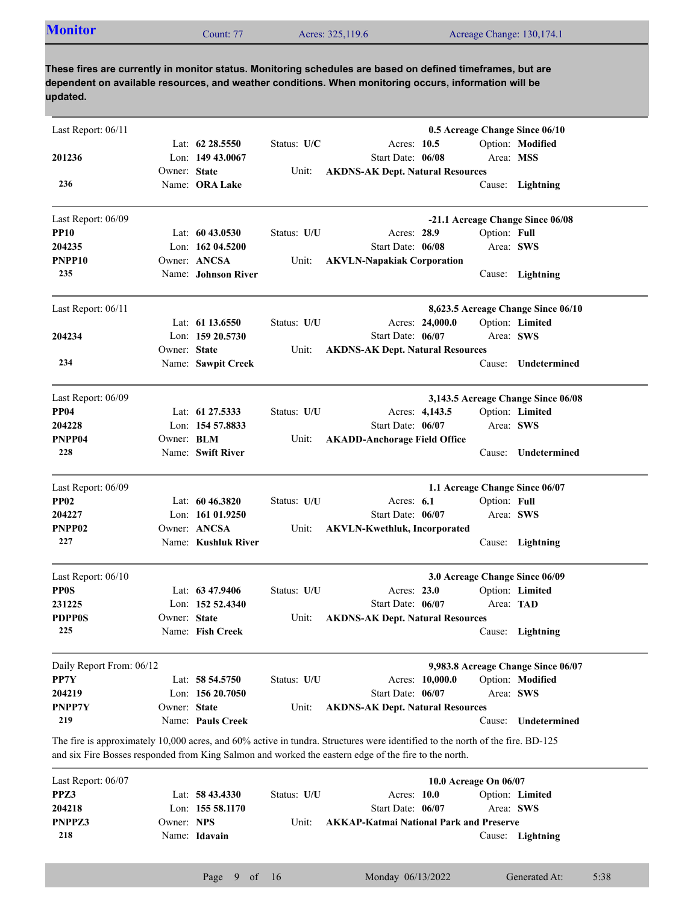| <b>Monitor</b><br>$\mathcal$ Count: 77<br>Acres: 325,119.6<br>Acreage Change: 130,174.1 |
|-----------------------------------------------------------------------------------------|
|-----------------------------------------------------------------------------------------|

| Last Report: 06/11       |              |                     |             |                                                                                                                               |                       | 0.5 Acreage Change Since 06/10     |      |
|--------------------------|--------------|---------------------|-------------|-------------------------------------------------------------------------------------------------------------------------------|-----------------------|------------------------------------|------|
|                          |              | Lat: $62\,28.5550$  | Status: U/C | Acres: 10.5                                                                                                                   |                       | Option: Modified                   |      |
| 201236                   |              | Lon: 149 43.0067    |             | Start Date: 06/08                                                                                                             | Area: MSS             |                                    |      |
|                          | Owner: State |                     | Unit:       | <b>AKDNS-AK Dept. Natural Resources</b>                                                                                       |                       |                                    |      |
| 236                      |              | Name: ORA Lake      |             |                                                                                                                               |                       | Cause: Lightning                   |      |
| Last Report: 06/09       |              |                     |             |                                                                                                                               |                       | -21.1 Acreage Change Since 06/08   |      |
| <b>PP10</b>              |              | Lat: $6043.0530$    | Status: U/U | Acres: 28.9                                                                                                                   | Option: Full          |                                    |      |
| 204235                   |              | Lon: $16204.5200$   |             | Start Date: 06/08                                                                                                             |                       | Area: SWS                          |      |
| PNPP <sub>10</sub>       |              | Owner: ANCSA        | Unit:       | <b>AKVLN-Napakiak Corporation</b>                                                                                             |                       |                                    |      |
| 235                      |              | Name: Johnson River |             |                                                                                                                               |                       | Cause: Lightning                   |      |
| Last Report: 06/11       |              |                     |             |                                                                                                                               |                       | 8,623.5 Acreage Change Since 06/10 |      |
|                          |              | Lat: $61\,13.6550$  | Status: U/U | Acres: 24,000.0                                                                                                               |                       | Option: Limited                    |      |
| 204234                   |              | Lon: 159 20.5730    |             | Start Date: 06/07                                                                                                             |                       | Area: SWS                          |      |
|                          | Owner: State |                     | Unit:       | <b>AKDNS-AK Dept. Natural Resources</b>                                                                                       |                       |                                    |      |
| 234                      |              | Name: Sawpit Creek  |             |                                                                                                                               |                       | Cause: Undetermined                |      |
| Last Report: 06/09       |              |                     |             |                                                                                                                               |                       | 3,143.5 Acreage Change Since 06/08 |      |
| <b>PP04</b>              |              | Lat: 61 27.5333     | Status: U/U | Acres: 4,143.5                                                                                                                |                       | Option: Limited                    |      |
| 204228                   |              | Lon: 154 57.8833    |             | Start Date: 06/07                                                                                                             |                       | Area: SWS                          |      |
| PNPP04                   | Owner: BLM   |                     | Unit:       | <b>AKADD-Anchorage Field Office</b>                                                                                           |                       |                                    |      |
| 228                      |              | Name: Swift River   |             |                                                                                                                               |                       | Cause: Undetermined                |      |
| Last Report: 06/09       |              |                     |             |                                                                                                                               |                       | 1.1 Acreage Change Since 06/07     |      |
| <b>PP02</b>              |              | Lat: $60\,46.3820$  | Status: U/U | Acres: $6.1$                                                                                                                  | Option: Full          |                                    |      |
| 204227                   |              | Lon: 161 01.9250    |             | Start Date: 06/07                                                                                                             |                       | Area: SWS                          |      |
| PNPP02                   |              | Owner: ANCSA        | Unit:       | <b>AKVLN-Kwethluk, Incorporated</b>                                                                                           |                       |                                    |      |
| 227                      |              | Name: Kushluk River |             |                                                                                                                               |                       | Cause: Lightning                   |      |
| Last Report: 06/10       |              |                     |             |                                                                                                                               |                       | 3.0 Acreage Change Since 06/09     |      |
| <b>PPOS</b>              |              | Lat: $63\,47.9406$  | Status: U/U | Acres: $23.0$                                                                                                                 |                       | Option: Limited                    |      |
| 231225                   |              | Lon: $15252.4340$   |             | Start Date: 06/07                                                                                                             | Area: TAD             |                                    |      |
| <b>PDPP0S</b>            | Owner: State |                     | Unit:       | <b>AKDNS-AK Dept. Natural Resources</b>                                                                                       |                       |                                    |      |
| 225                      |              | Name: Fish Creek    |             |                                                                                                                               |                       | Cause: Lightning                   |      |
| Daily Report From: 06/12 |              |                     |             |                                                                                                                               |                       | 9,983.8 Acreage Change Since 06/07 |      |
| PP7Y                     |              | Lat: 58 54.5750     | Status: U/U | Acres: 10,000.0                                                                                                               |                       | Option: Modified                   |      |
| 204219                   |              | Lon: 156 20.7050    |             | Start Date: 06/07                                                                                                             |                       | Area: SWS                          |      |
| PNPP7Y                   | Owner: State |                     | Unit:       | <b>AKDNS-AK Dept. Natural Resources</b>                                                                                       |                       |                                    |      |
| 219                      |              | Name: Pauls Creek   |             |                                                                                                                               | Cause:                | Undetermined                       |      |
|                          |              |                     |             | The fire is approximately 10,000 acres, and 60% active in tundra. Structures were identified to the north of the fire. BD-125 |                       |                                    |      |
|                          |              |                     |             | and six Fire Bosses responded from King Salmon and worked the eastern edge of the fire to the north.                          |                       |                                    |      |
| Last Report: 06/07       |              |                     |             |                                                                                                                               | 10.0 Acreage On 06/07 |                                    |      |
| PPZ3                     |              | Lat: 58 43.4330     | Status: U/U | Acres: 10.0                                                                                                                   |                       | Option: Limited                    |      |
| 204218                   |              | Lon: 155 58.1170    |             | Start Date: 06/07                                                                                                             |                       | Area: SWS                          |      |
| PNPPZ3                   | Owner: NPS   |                     | Unit:       | <b>AKKAP-Katmai National Park and Preserve</b>                                                                                |                       |                                    |      |
| 218                      |              | Name: Idavain       |             |                                                                                                                               |                       | Cause: Lightning                   |      |
|                          |              | Page<br>9 of 16     |             | Monday 06/13/2022                                                                                                             |                       | Generated At:                      | 5:38 |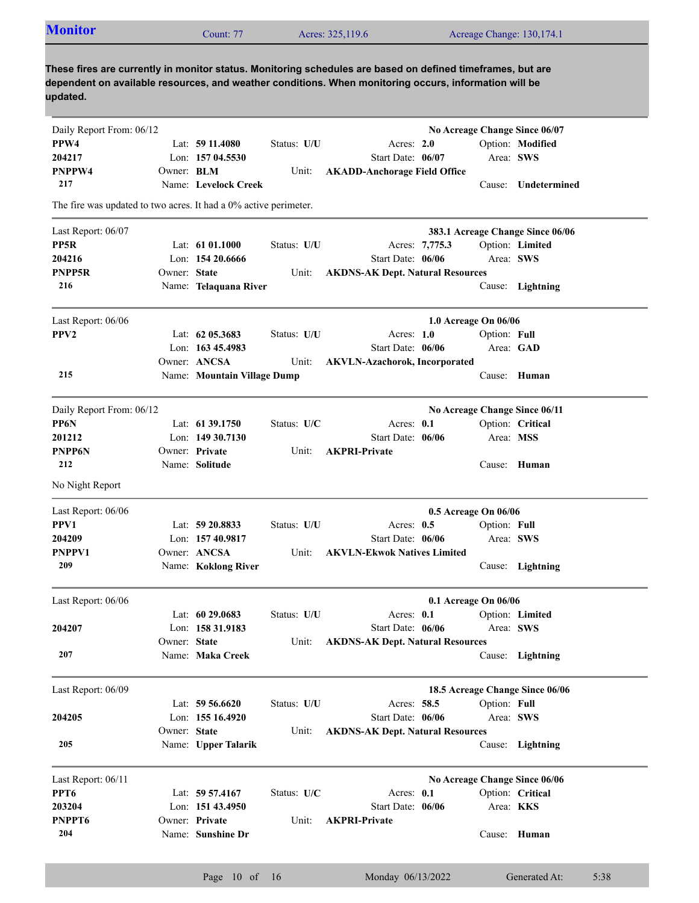| <b>Monitor</b>                                                   |                   | Count: 77                   |             | Acres: 325,119.6                                                                                                                                                                                                    |                      |              | Acreage Change: 130,174.1        |
|------------------------------------------------------------------|-------------------|-----------------------------|-------------|---------------------------------------------------------------------------------------------------------------------------------------------------------------------------------------------------------------------|----------------------|--------------|----------------------------------|
|                                                                  |                   |                             |             |                                                                                                                                                                                                                     |                      |              |                                  |
| updated.                                                         |                   |                             |             | These fires are currently in monitor status. Monitoring schedules are based on defined timeframes, but are<br>dependent on available resources, and weather conditions. When monitoring occurs, information will be |                      |              |                                  |
| Daily Report From: 06/12                                         |                   |                             |             |                                                                                                                                                                                                                     |                      |              | No Acreage Change Since 06/07    |
| PPW4                                                             |                   | Lat: 59 11.4080             | Status: U/U | Acres: $2.0$                                                                                                                                                                                                        |                      |              | Option: Modified                 |
| 204217                                                           |                   | Lon: 157 04.5530            |             | Start Date: 06/07                                                                                                                                                                                                   |                      |              | Area: SWS                        |
| <b>PNPPW4</b>                                                    | Owner: <b>BLM</b> |                             | Unit:       | <b>AKADD-Anchorage Field Office</b>                                                                                                                                                                                 |                      |              |                                  |
| 217                                                              |                   | Name: Levelock Creek        |             |                                                                                                                                                                                                                     |                      |              | Cause: Undetermined              |
| The fire was updated to two acres. It had a 0% active perimeter. |                   |                             |             |                                                                                                                                                                                                                     |                      |              |                                  |
| Last Report: 06/07                                               |                   |                             |             |                                                                                                                                                                                                                     |                      |              | 383.1 Acreage Change Since 06/06 |
| PP5R                                                             |                   | Lat: $6101.1000$            | Status: U/U |                                                                                                                                                                                                                     | Acres: 7,775.3       |              | Option: Limited                  |
| 204216                                                           |                   | Lon: $15420.6666$           |             | Start Date: 06/06                                                                                                                                                                                                   |                      |              | Area: SWS                        |
| PNPP5R                                                           | Owner: State      |                             | Unit:       | <b>AKDNS-AK Dept. Natural Resources</b>                                                                                                                                                                             |                      |              |                                  |
| 216                                                              |                   | Name: Telaquana River       |             |                                                                                                                                                                                                                     |                      |              | Cause: Lightning                 |
| Last Report: 06/06                                               |                   |                             |             |                                                                                                                                                                                                                     | 1.0 Acreage On 06/06 |              |                                  |
| PPV <sub>2</sub>                                                 |                   | Lat: $62$ 05.3683           | Status: U/U | Acres: $1.0$                                                                                                                                                                                                        |                      | Option: Full |                                  |
|                                                                  |                   | Lon: $16345.4983$           |             | Start Date: 06/06                                                                                                                                                                                                   |                      |              | Area: GAD                        |
|                                                                  |                   | Owner: ANCSA                | Unit:       | <b>AKVLN-Azachorok, Incorporated</b>                                                                                                                                                                                |                      |              |                                  |
| 215                                                              |                   | Name: Mountain Village Dump |             |                                                                                                                                                                                                                     |                      |              | Cause: Human                     |
|                                                                  |                   |                             |             |                                                                                                                                                                                                                     |                      |              |                                  |
| Daily Report From: 06/12                                         |                   |                             |             |                                                                                                                                                                                                                     |                      |              | No Acreage Change Since 06/11    |
| PP6N                                                             |                   | Lat: 61 39.1750             | Status: U/C | Acres: $0.1$                                                                                                                                                                                                        |                      |              | Option: Critical                 |
| 201212                                                           |                   | Lon: $14930.7130$           |             | Start Date: 06/06                                                                                                                                                                                                   |                      |              | Area: MSS                        |
| <b>PNPP6N</b>                                                    |                   | Owner: Private              | Unit:       | <b>AKPRI-Private</b>                                                                                                                                                                                                |                      |              |                                  |
| 212                                                              |                   | Name: Solitude              |             |                                                                                                                                                                                                                     |                      |              | Cause: Human                     |
| No Night Report                                                  |                   |                             |             |                                                                                                                                                                                                                     |                      |              |                                  |
| Last Report: 06/06                                               |                   |                             |             |                                                                                                                                                                                                                     | 0.5 Acreage On 06/06 |              |                                  |
| PPV1                                                             |                   | Lat: 59 20.8833             | Status: U/U | Acres: 0.5                                                                                                                                                                                                          |                      | Option: Full |                                  |
| 204209                                                           |                   | Lon: 157 40.9817            |             | Start Date: 06/06                                                                                                                                                                                                   |                      | Area: SWS    |                                  |
| PNPPV1                                                           |                   | Owner: ANCSA                | Unit:       | <b>AKVLN-Ekwok Natives Limited</b>                                                                                                                                                                                  |                      |              |                                  |
| 209                                                              |                   | Name: Koklong River         |             |                                                                                                                                                                                                                     |                      |              | Cause: Lightning                 |
| Last Report: 06/06                                               |                   |                             |             |                                                                                                                                                                                                                     | 0.1 Acreage On 06/06 |              |                                  |
|                                                                  |                   | Lat: 60 29.0683             | Status: U/U | Acres: 0.1                                                                                                                                                                                                          |                      |              | Option: Limited                  |
| 204207                                                           |                   | Lon: 158 31.9183            |             | Start Date: 06/06                                                                                                                                                                                                   |                      |              | Area: SWS                        |
|                                                                  | Owner: State      |                             | Unit:       | <b>AKDNS-AK Dept. Natural Resources</b>                                                                                                                                                                             |                      |              |                                  |
| 207                                                              |                   | Name: Maka Creek            |             |                                                                                                                                                                                                                     |                      |              | Cause: Lightning                 |
| Last Report: 06/09                                               |                   |                             |             |                                                                                                                                                                                                                     |                      |              | 18.5 Acreage Change Since 06/06  |
|                                                                  |                   | Lat: 59 56.6620             | Status: U/U | Acres: 58.5                                                                                                                                                                                                         |                      | Option: Full |                                  |
| 204205                                                           |                   | Lon: 155 16.4920            |             | Start Date: 06/06                                                                                                                                                                                                   |                      |              | Area: SWS                        |
|                                                                  | Owner: State      |                             | Unit:       | <b>AKDNS-AK Dept. Natural Resources</b>                                                                                                                                                                             |                      |              |                                  |
| 205                                                              |                   | Name: Upper Talarik         |             |                                                                                                                                                                                                                     |                      |              | Cause: Lightning                 |
|                                                                  |                   |                             |             |                                                                                                                                                                                                                     |                      |              |                                  |

Name: **Sunshine Dr** Lon: **151 43.4950** Start Date: Lat: **59 57.4167** Status: U/C Acres: 0.1 Cause: **Human** Start Date: 06/06 Owner: Private Area: **KKS** Option: **Critical Unit: AKPRI-Private 204 203204 PNPPT6 PPT6** Last Report: 06/11 **No Acreage Change Since 06/06**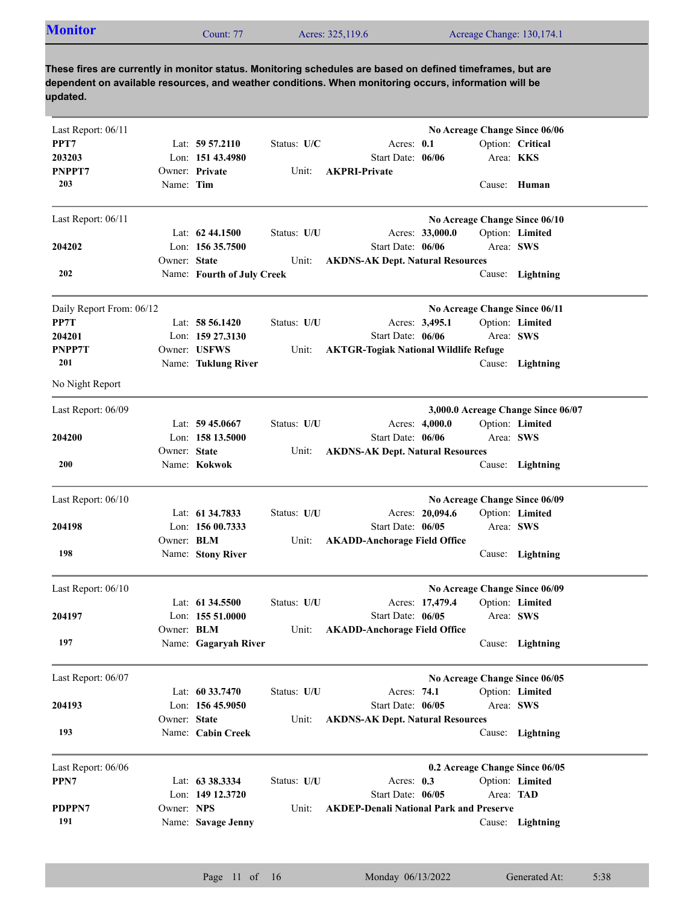| <b>Monitor</b> | Count: 77 | Acres: 325,119.6 | Acreage Change: 130,174.1 |
|----------------|-----------|------------------|---------------------------|
|                |           |                  |                           |

| Last Report: 06/11       |              |                            |             |                                                | No Acreage Change Since 06/06  |           |                                    |
|--------------------------|--------------|----------------------------|-------------|------------------------------------------------|--------------------------------|-----------|------------------------------------|
| PPT7                     |              | Lat: $59\,57.2110$         | Status: U/C | Acres: 0.1                                     |                                |           | Option: Critical                   |
| 203203                   |              | Lon: 151 43.4980           |             | Start Date: 06/06                              |                                |           | Area: KKS                          |
| PNPPT7                   |              | Owner: Private             | Unit:       | <b>AKPRI-Private</b>                           |                                |           |                                    |
| 203                      | Name: Tim    |                            |             |                                                |                                |           | Cause: Human                       |
| Last Report: 06/11       |              |                            |             |                                                | No Acreage Change Since 06/10  |           |                                    |
|                          |              | Lat: $62\,44.1500$         | Status: U/U | Acres: 33,000.0                                |                                |           | Option: Limited                    |
| 204202                   |              | Lon: 156 35.7500           |             | Start Date: 06/06                              |                                | Area: SWS |                                    |
|                          | Owner: State |                            | Unit:       | <b>AKDNS-AK Dept. Natural Resources</b>        |                                |           |                                    |
| 202                      |              | Name: Fourth of July Creek |             |                                                |                                |           | Cause: Lightning                   |
| Daily Report From: 06/12 |              |                            |             |                                                | No Acreage Change Since 06/11  |           |                                    |
| PP7T                     |              | Lat: $58\,56.1420$         | Status: U/U | Acres: 3,495.1                                 |                                |           | Option: Limited                    |
| 204201                   |              | Lon: 159 27.3130           |             | Start Date: 06/06                              |                                | Area: SWS |                                    |
| PNPP7T                   |              | Owner: USFWS               | Unit:       | <b>AKTGR-Togiak National Wildlife Refuge</b>   |                                |           |                                    |
| 201                      |              | Name: Tuklung River        |             |                                                |                                |           | Cause: Lightning                   |
| No Night Report          |              |                            |             |                                                |                                |           |                                    |
| Last Report: 06/09       |              |                            |             |                                                |                                |           | 3,000.0 Acreage Change Since 06/07 |
|                          |              | Lat: $59\,45.0667$         | Status: U/U | Acres: 4.000.0                                 |                                |           | Option: Limited                    |
| 204200                   |              | Lon: 158 13.5000           |             | Start Date: 06/06                              |                                | Area: SWS |                                    |
|                          | Owner: State |                            | Unit:       | <b>AKDNS-AK Dept. Natural Resources</b>        |                                |           |                                    |
| 200                      |              | Name: Kokwok               |             |                                                |                                |           | Cause: Lightning                   |
| Last Report: 06/10       |              |                            |             |                                                | No Acreage Change Since 06/09  |           |                                    |
|                          |              | Lat: 61 34.7833            | Status: U/U | Acres: 20,094.6                                |                                |           | Option: Limited                    |
| 204198                   |              | Lon: 156 00.7333           |             | Start Date: 06/05                              |                                | Area: SWS |                                    |
|                          | Owner: BLM   |                            | Unit:       | <b>AKADD-Anchorage Field Office</b>            |                                |           |                                    |
| 198                      |              | Name: Stony River          |             |                                                |                                |           | Cause: Lightning                   |
| Last Report: 06/10       |              |                            |             |                                                | No Acreage Change Since 06/09  |           |                                    |
|                          |              | Lat: $61\,34.5500$         | Status: U/U | Acres: 17,479.4                                |                                |           | Option: Limited                    |
| 204197                   |              | Lon: 155 51.0000           |             | Start Date: 06/05                              |                                | Area: SWS |                                    |
|                          | Owner: BLM   |                            | Unit:       | <b>AKADD-Anchorage Field Office</b>            |                                |           |                                    |
| 197                      |              | Name: Gagaryah River       |             |                                                |                                |           | Cause: Lightning                   |
| Last Report: 06/07       |              |                            |             |                                                | No Acreage Change Since 06/05  |           |                                    |
|                          |              | Lat: $60\,33.7470$         | Status: U/U | Acres: 74.1                                    |                                |           | Option: Limited                    |
| 204193                   |              | Lon: $15645.9050$          |             | Start Date: 06/05                              |                                | Area: SWS |                                    |
|                          | Owner: State |                            | Unit:       | <b>AKDNS-AK Dept. Natural Resources</b>        |                                |           |                                    |
| 193                      |              | Name: Cabin Creek          |             |                                                |                                |           | Cause: Lightning                   |
| Last Report: 06/06       |              |                            |             |                                                | 0.2 Acreage Change Since 06/05 |           |                                    |
| PPN7                     |              | Lat: 63 38.3334            | Status: U/U | Acres: 0.3                                     |                                |           | Option: Limited                    |
|                          |              | Lon: 149 12.3720           |             | Start Date: 06/05                              |                                | Area: TAD |                                    |
| PDPPN7                   | Owner: NPS   |                            | Unit:       | <b>AKDEP-Denali National Park and Preserve</b> |                                |           |                                    |
| 191                      |              | Name: Savage Jenny         |             |                                                |                                |           | Cause: Lightning                   |
|                          |              |                            |             |                                                |                                |           |                                    |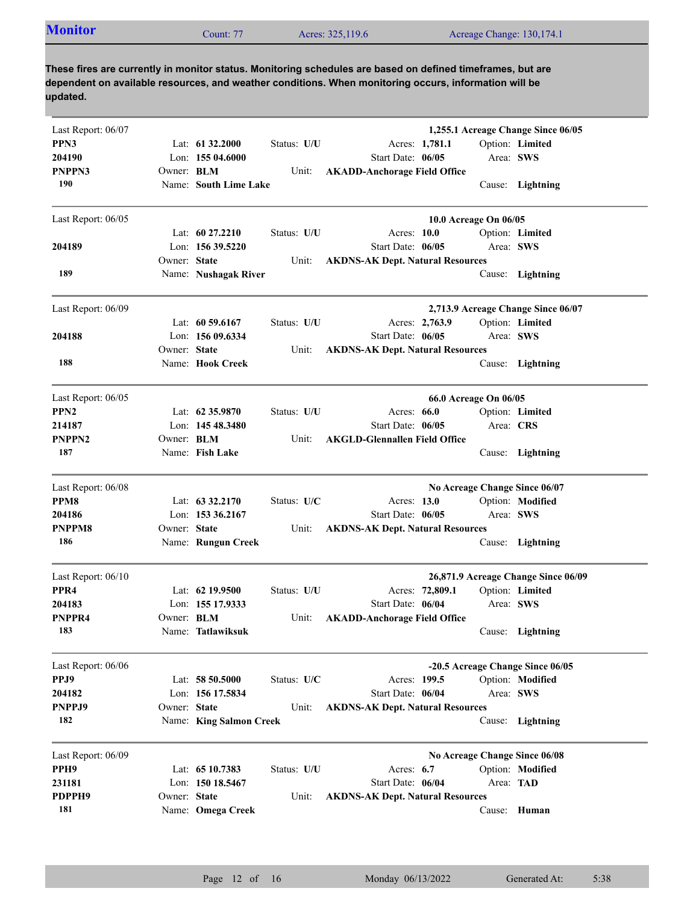|--|

| Last Report: 06/07 |                   |                         |             |                                         |                       | 1,255.1 Acreage Change Since 06/05  |
|--------------------|-------------------|-------------------------|-------------|-----------------------------------------|-----------------------|-------------------------------------|
| PPN3               |                   | Lat: $61\,32.2000$      | Status: U/U | Acres: 1,781.1                          |                       | Option: Limited                     |
| 204190             |                   | Lon: 155 04.6000        |             | Start Date: 06/05                       | Area: SWS             |                                     |
| PNPPN3             |                   |                         |             |                                         |                       |                                     |
| 190                | Owner: <b>BLM</b> |                         | Unit:       | <b>AKADD-Anchorage Field Office</b>     |                       |                                     |
|                    |                   | Name: South Lime Lake   |             |                                         |                       | Cause: Lightning                    |
| Last Report: 06/05 |                   |                         |             |                                         | 10.0 Acreage On 06/05 |                                     |
|                    |                   | Lat: 60 27.2210         | Status: U/U | Acres: 10.0                             |                       | Option: Limited                     |
| 204189             |                   | Lon: 156 39.5220        |             | Start Date: 06/05                       | Area: SWS             |                                     |
|                    | Owner: State      |                         | Unit:       | <b>AKDNS-AK Dept. Natural Resources</b> |                       |                                     |
| 189                |                   | Name: Nushagak River    |             |                                         |                       | Cause: Lightning                    |
| Last Report: 06/09 |                   |                         |             |                                         |                       | 2,713.9 Acreage Change Since 06/07  |
|                    |                   | Lat: $60\,59.6167$      | Status: U/U | Acres: 2,763.9                          |                       | Option: Limited                     |
| 204188             |                   | Lon: 156 09.6334        |             | Start Date: 06/05                       | Area: SWS             |                                     |
|                    | Owner: State      |                         | Unit:       | <b>AKDNS-AK Dept. Natural Resources</b> |                       |                                     |
| 188                |                   | Name: Hook Creek        |             |                                         |                       | Cause: Lightning                    |
|                    |                   |                         |             |                                         |                       |                                     |
| Last Report: 06/05 |                   |                         |             |                                         | 66.0 Acreage On 06/05 |                                     |
| PPN <sub>2</sub>   |                   | Lat: $62\,35.9870$      | Status: U/U | Acres: $66.0$                           |                       | Option: Limited                     |
| 214187             |                   | Lon: 145 48.3480        |             | Start Date: 06/05                       | Area: CRS             |                                     |
| PNPPN2             | Owner: <b>BLM</b> |                         | Unit:       | <b>AKGLD-Glennallen Field Office</b>    |                       |                                     |
| 187                |                   | Name: Fish Lake         |             |                                         |                       | Cause: Lightning                    |
| Last Report: 06/08 |                   |                         |             |                                         |                       | No Acreage Change Since 06/07       |
| PPM8               |                   | Lat: $63\,32.2170$      | Status: U/C | Acres: 13.0                             |                       | Option: Modified                    |
| 204186             |                   | Lon: 153 36.2167        |             | Start Date: 06/05                       | Area: SWS             |                                     |
| PNPPM8             | Owner: State      |                         | Unit:       | <b>AKDNS-AK Dept. Natural Resources</b> |                       |                                     |
| 186                |                   | Name: Rungun Creek      |             |                                         |                       | Cause: Lightning                    |
|                    |                   |                         |             |                                         |                       |                                     |
| Last Report: 06/10 |                   |                         |             |                                         |                       | 26,871.9 Acreage Change Since 06/09 |
| PPR <sub>4</sub>   |                   | Lat: $62$ 19.9500       | Status: U/U | Acres: 72,809.1                         |                       | Option: Limited                     |
| 204183             |                   | Lon: 155 17.9333        |             | Start Date: 06/04                       | Area: SWS             |                                     |
| PNPPR4             | Owner: <b>BLM</b> |                         | Unit:       | <b>AKADD-Anchorage Field Office</b>     |                       |                                     |
| 183                |                   | Name: Tatlawiksuk       |             |                                         |                       | Cause: Lightning                    |
| Last Report: 06/06 |                   |                         |             |                                         |                       | -20.5 Acreage Change Since 06/05    |
| PPJ9               |                   | Lat: $58\,50.5000$      | Status: U/C | Acres: 199.5                            |                       | Option: Modified                    |
| 204182             |                   | Lon: 156 17.5834        |             | Start Date: 06/04                       | Area: SWS             |                                     |
| PNPPJ9             | Owner: State      |                         | Unit:       | <b>AKDNS-AK Dept. Natural Resources</b> |                       |                                     |
| 182                |                   | Name: King Salmon Creek |             |                                         | Cause:                | Lightning                           |
| Last Report: 06/09 |                   |                         |             |                                         |                       | No Acreage Change Since 06/08       |
| PPH9               |                   | Lat: 65 10.7383         | Status: U/U | Acres: $6.7$                            |                       | Option: Modified                    |
| 231181             |                   | Lon: 150 18.5467        |             | Start Date: 06/04                       | Area: TAD             |                                     |
| PDPPH9             | Owner: State      |                         | Unit:       | <b>AKDNS-AK Dept. Natural Resources</b> |                       |                                     |
| 181                |                   | Name: Omega Creek       |             |                                         |                       | Cause: Human                        |
|                    |                   |                         |             |                                         |                       |                                     |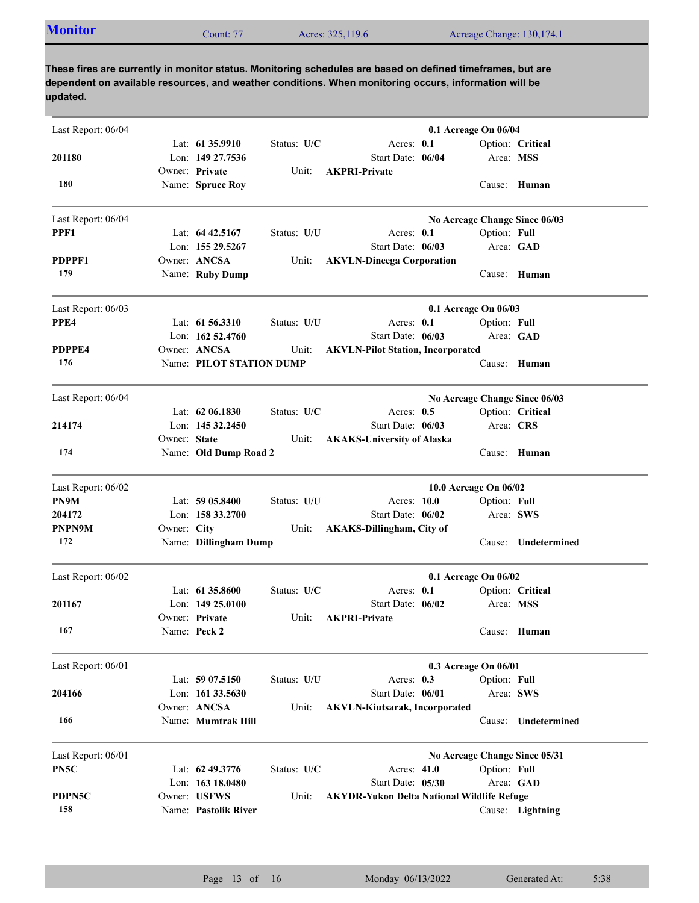|  | <b>Monitor</b> | Count: 77 | Acres: 325,119.6 | Acreage Change: 130,174.1 |  |
|--|----------------|-----------|------------------|---------------------------|--|
|--|----------------|-----------|------------------|---------------------------|--|

| Last Report: 06/04 |              |                          |             |                                                   | 0.1 Acreage On 06/04  |              |                               |
|--------------------|--------------|--------------------------|-------------|---------------------------------------------------|-----------------------|--------------|-------------------------------|
|                    |              | Lat: $61\,35.9910$       | Status: U/C | Acres: 0.1                                        |                       |              | Option: Critical              |
| 201180             |              | Lon: 149 27.7536         |             | Start Date: 06/04                                 |                       | Area: MSS    |                               |
|                    |              | Owner: Private           | Unit:       | <b>AKPRI-Private</b>                              |                       |              |                               |
| 180                |              | Name: Spruce Roy         |             |                                                   |                       |              | Cause: Human                  |
| Last Report: 06/04 |              |                          |             |                                                   |                       |              | No Acreage Change Since 06/03 |
| PPF1               |              | Lat: $64\,42.5167$       | Status: U/U | Acres: $0.1$                                      |                       | Option: Full |                               |
|                    |              | Lon: 155 29.5267         |             | Start Date: 06/03                                 |                       |              | Area: GAD                     |
| PDPPF1             |              | Owner: ANCSA             | Unit:       | <b>AKVLN-Dineega Corporation</b>                  |                       |              |                               |
| 179                |              | Name: Ruby Dump          |             |                                                   |                       |              | Cause: Human                  |
| Last Report: 06/03 |              |                          |             |                                                   | 0.1 Acreage On 06/03  |              |                               |
| PPE4               |              | Lat: 61 56.3310          | Status: U/U | Acres: 0.1                                        |                       | Option: Full |                               |
|                    |              | Lon: 162 52.4760         |             | Start Date: 06/03                                 |                       |              | Area: GAD                     |
| PDPPE4             |              | Owner: ANCSA             | Unit:       | <b>AKVLN-Pilot Station, Incorporated</b>          |                       |              |                               |
| 176                |              | Name: PILOT STATION DUMP |             |                                                   |                       |              | Cause: Human                  |
| Last Report: 06/04 |              |                          |             |                                                   |                       |              | No Acreage Change Since 06/03 |
|                    |              | Lat: $62\,06.1830$       | Status: U/C | Acres: $0.5$                                      |                       |              | Option: Critical              |
| 214174             |              | Lon: 145 32.2450         |             | Start Date: 06/03                                 |                       | Area: CRS    |                               |
|                    | Owner: State |                          | Unit:       | <b>AKAKS-University of Alaska</b>                 |                       |              |                               |
| 174                |              | Name: Old Dump Road 2    |             |                                                   |                       |              | Cause: Human                  |
| Last Report: 06/02 |              |                          |             |                                                   | 10.0 Acreage On 06/02 |              |                               |
| PN9M               |              | Lat: $5905.8400$         | Status: U/U | Acres: 10.0                                       |                       | Option: Full |                               |
| 204172             |              | Lon: $1583.2700$         |             | Start Date: 06/02                                 |                       | Area: SWS    |                               |
| PNPN9M             | Owner: City  |                          | Unit:       | <b>AKAKS-Dillingham, City of</b>                  |                       |              |                               |
| 172                |              | Name: Dillingham Dump    |             |                                                   |                       | Cause:       | Undetermined                  |
| Last Report: 06/02 |              |                          |             |                                                   | 0.1 Acreage On 06/02  |              |                               |
|                    |              | Lat: $61\,35.8600$       | Status: U/C | Acres: $0.1$                                      |                       |              | Option: Critical              |
| 201167             |              | Lon: $14925.0100$        |             | Start Date: 06/02                                 |                       | Area: MSS    |                               |
|                    |              | Owner: Private           | Unit:       | <b>AKPRI-Private</b>                              |                       |              |                               |
| 167                |              | Name: Peck 2             |             |                                                   |                       |              | Cause: Human                  |
| Last Report: 06/01 |              |                          |             |                                                   | 0.3 Acreage On 06/01  |              |                               |
|                    |              | Lat: 59 07.5150          | Status: U/U | Acres: 0.3                                        |                       | Option: Full |                               |
| 204166             |              | Lon: 161 33.5630         |             | Start Date: 06/01                                 |                       |              | Area: SWS                     |
|                    |              | Owner: ANCSA             | Unit:       | <b>AKVLN-Kiutsarak, Incorporated</b>              |                       |              |                               |
| 166                |              | Name: Mumtrak Hill       |             |                                                   |                       | Cause:       | Undetermined                  |
| Last Report: 06/01 |              |                          |             |                                                   |                       |              | No Acreage Change Since 05/31 |
| PN5C               |              | Lat: 62 49.3776          | Status: U/C | Acres: 41.0                                       |                       | Option: Full |                               |
|                    |              | Lon: 163 18.0480         |             | Start Date: 05/30                                 |                       |              | Area: GAD                     |
| PDPN5C             |              | Owner: USFWS             | Unit:       | <b>AKYDR-Yukon Delta National Wildlife Refuge</b> |                       |              |                               |
| 158                |              | Name: Pastolik River     |             |                                                   |                       |              | Cause: Lightning              |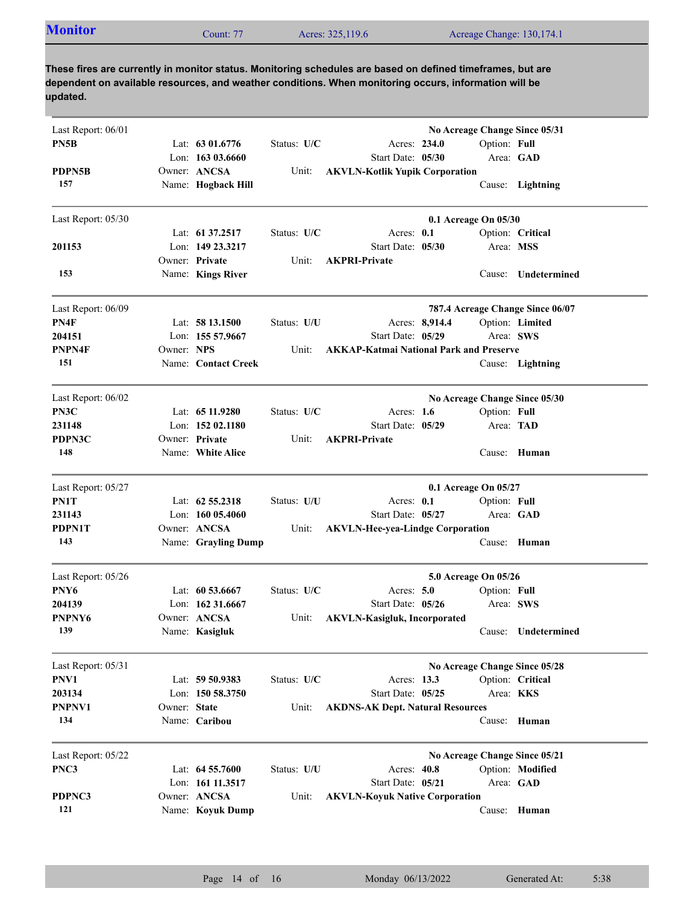|--|

| Last Report: 06/01 |              |                     |             |                                                |              | No Acreage Change Since 05/31    |
|--------------------|--------------|---------------------|-------------|------------------------------------------------|--------------|----------------------------------|
| PN5B               |              | Lat: 63 01.6776     | Status: U/C | Acres: 234.0                                   | Option: Full |                                  |
|                    |              | Lon: $16303.6660$   |             | Start Date: 05/30                              |              | Area: GAD                        |
| PDPN5B             |              | Owner: ANCSA        | Unit:       | <b>AKVLN-Kotlik Yupik Corporation</b>          |              |                                  |
| 157                |              | Name: Hogback Hill  |             |                                                |              | Cause: Lightning                 |
| Last Report: 05/30 |              |                     |             | 0.1 Acreage On 05/30                           |              |                                  |
|                    |              | Lat: 61 37.2517     | Status: U/C | Acres: 0.1                                     |              | Option: Critical                 |
| 201153             |              | Lon: 149 23.3217    |             | Start Date: 05/30                              | Area: MSS    |                                  |
|                    |              | Owner: Private      | Unit:       | <b>AKPRI-Private</b>                           |              |                                  |
| 153                |              | Name: Kings River   |             |                                                |              | Cause: Undetermined              |
| Last Report: 06/09 |              |                     |             |                                                |              | 787.4 Acreage Change Since 06/07 |
| PN4F               |              | Lat: 58 13.1500     | Status: U/U | Acres: 8,914.4                                 |              | Option: Limited                  |
| 204151             |              | Lon: 155 57.9667    |             | Start Date: 05/29                              | Area: SWS    |                                  |
| PNPN4F             | Owner: NPS   |                     | Unit:       | <b>AKKAP-Katmai National Park and Preserve</b> |              |                                  |
| 151                |              | Name: Contact Creek |             |                                                |              | Cause: Lightning                 |
| Last Report: 06/02 |              |                     |             |                                                |              | No Acreage Change Since 05/30    |
| PN3C               |              | Lat: $6511.9280$    | Status: U/C | Acres: $1.6$                                   | Option: Full |                                  |
| 231148             |              | Lon: $15202.1180$   |             | Start Date: 05/29                              | Area: TAD    |                                  |
| PDPN3C             |              | Owner: Private      | Unit:       | <b>AKPRI-Private</b>                           |              |                                  |
| 148                |              | Name: White Alice   |             |                                                | Cause:       | Human                            |
| Last Report: 05/27 |              |                     |             | 0.1 Acreage On 05/27                           |              |                                  |
| PN1T               |              | Lat: $62\,55.2318$  | Status: U/U | Acres: $0.1$                                   | Option: Full |                                  |
| 231143             |              | Lon: $16005.4060$   |             | Start Date: 05/27                              |              | Area: GAD                        |
| PDPN1T             |              | Owner: ANCSA        | Unit:       | <b>AKVLN-Hee-yea-Lindge Corporation</b>        |              |                                  |
| 143                |              | Name: Grayling Dump |             |                                                |              | Cause: Human                     |
| Last Report: 05/26 |              |                     |             | 5.0 Acreage On 05/26                           |              |                                  |
| PNY6               |              | Lat: $60\,53.6667$  | Status: U/C | Acres: $5.0$                                   | Option: Full |                                  |
| 204139             |              | Lon: 162 31.6667    |             | Start Date: 05/26                              |              | Area: SWS                        |
| PNPNY6             |              | Owner: ANCSA        | Unit:       | <b>AKVLN-Kasigluk, Incorporated</b>            |              |                                  |
| 139                |              | Name: Kasigluk      |             |                                                |              | Cause: Undetermined              |
| Last Report: 05/31 |              |                     |             |                                                |              | No Acreage Change Since 05/28    |
| PNV1               |              | Lat: 59 50.9383     | Status: U/C | Acres: 13.3                                    |              | Option: Critical                 |
| 203134             |              | Lon: 150 58.3750    |             | Start Date: 05/25                              | Area: KKS    |                                  |
| PNPNV1             | Owner: State |                     | Unit:       | <b>AKDNS-AK Dept. Natural Resources</b>        |              |                                  |
| 134                |              | Name: Caribou       |             |                                                | Cause:       | Human                            |
| Last Report: 05/22 |              |                     |             |                                                |              | No Acreage Change Since 05/21    |
| PNC3               |              | Lat: 64 55.7600     | Status: U/U | Acres: 40.8                                    |              | Option: Modified                 |
|                    |              | Lon: 161 11.3517    |             | Start Date: 05/21                              |              | Area: GAD                        |
| PDPNC3             |              | Owner: ANCSA        | Unit:       | <b>AKVLN-Koyuk Native Corporation</b>          |              |                                  |
| 121                |              | Name: Koyuk Dump    |             |                                                |              | Cause: Human                     |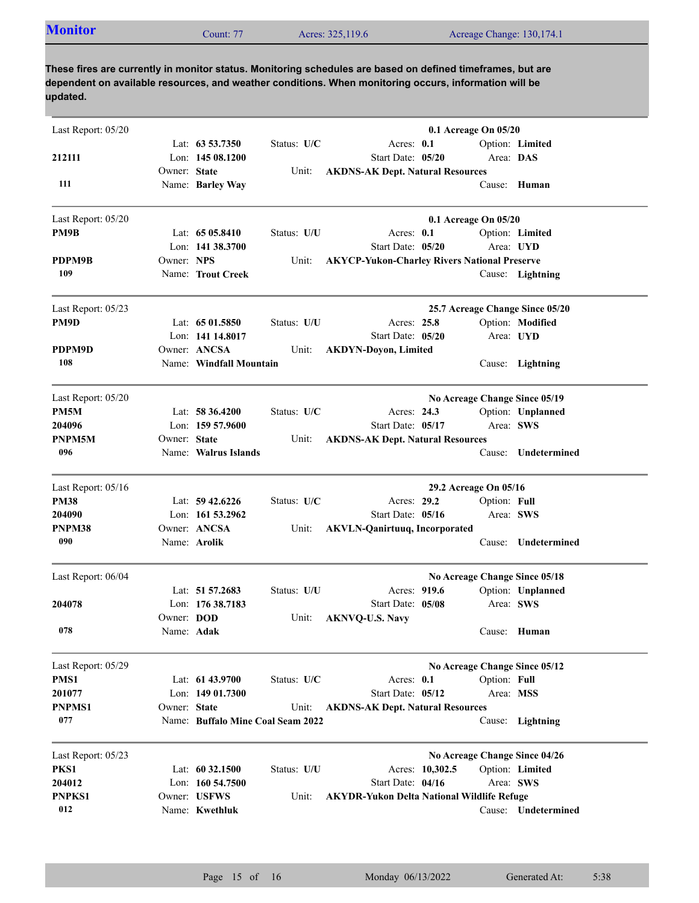| <b>Monitor</b><br>Acres: 325,119.6<br>Acreage Change: 130,174.1<br>Count: 77 |
|------------------------------------------------------------------------------|
|------------------------------------------------------------------------------|

| Last Report: 05/20 |              |                                   |             | 0.1 Acreage On 05/20                                |                       |              |                                 |  |
|--------------------|--------------|-----------------------------------|-------------|-----------------------------------------------------|-----------------------|--------------|---------------------------------|--|
|                    |              | Lat: 63 53.7350                   | Status: U/C | Acres: $0.1$                                        |                       |              | Option: Limited                 |  |
| 212111             |              | Lon: $14508.1200$                 |             | Start Date: 05/20                                   |                       | Area: DAS    |                                 |  |
|                    | Owner: State |                                   | Unit:       | <b>AKDNS-AK Dept. Natural Resources</b>             |                       |              |                                 |  |
| 111                |              | Name: Barley Way                  |             |                                                     |                       |              | Cause: Human                    |  |
| Last Report: 05/20 |              |                                   |             |                                                     | 0.1 Acreage On 05/20  |              |                                 |  |
| PM9B               |              | Lat: $6505.8410$                  | Status: U/U | Acres: $0.1$                                        |                       |              | Option: Limited                 |  |
|                    |              | Lon: 141 38.3700                  |             | Start Date: 05/20                                   |                       | Area: UYD    |                                 |  |
| PDPM9B             | Owner: NPS   |                                   | Unit:       | <b>AKYCP-Yukon-Charley Rivers National Preserve</b> |                       |              |                                 |  |
| 109                |              | Name: Trout Creek                 |             |                                                     |                       |              | Cause: Lightning                |  |
| Last Report: 05/23 |              |                                   |             |                                                     |                       |              | 25.7 Acreage Change Since 05/20 |  |
| PM9D               |              | Lat: 65 01.5850                   | Status: U/U | Acres: 25.8                                         |                       |              | Option: Modified                |  |
|                    |              | Lon: 141 14.8017                  |             | Start Date: 05/20                                   |                       |              | Area: UYD                       |  |
| PDPM9D             |              | Owner: ANCSA                      | Unit:       | <b>AKDYN-Doyon, Limited</b>                         |                       |              |                                 |  |
| 108                |              | Name: Windfall Mountain           |             |                                                     |                       |              | Cause: Lightning                |  |
| Last Report: 05/20 |              |                                   |             |                                                     |                       |              | No Acreage Change Since 05/19   |  |
| PM <sub>5</sub> M  |              | Lat: $58\,36.4200$                | Status: U/C | Acres: 24.3                                         |                       |              | Option: Unplanned               |  |
| 204096             |              | Lon: $15957.9600$                 |             | Start Date: 05/17                                   |                       |              | Area: SWS                       |  |
| PNPM5M             | Owner: State |                                   | Unit:       | <b>AKDNS-AK Dept. Natural Resources</b>             |                       |              |                                 |  |
| 096                |              | Name: Walrus Islands              |             |                                                     |                       | Cause:       | Undetermined                    |  |
| Last Report: 05/16 |              |                                   |             |                                                     | 29.2 Acreage On 05/16 |              |                                 |  |
| <b>PM38</b>        |              | Lat: $59\,42.6226$                | Status: U/C | Acres: 29.2                                         |                       | Option: Full |                                 |  |
| 204090             |              | Lon: $161\,53.2962$               |             | Start Date: 05/16                                   |                       | Area: SWS    |                                 |  |
| PNPM38             |              | Owner: ANCSA                      | Unit:       | <b>AKVLN-Qanirtuuq, Incorporated</b>                |                       |              |                                 |  |
| 090                |              | Name: Arolik                      |             |                                                     |                       | Cause:       | Undetermined                    |  |
| Last Report: 06/04 |              |                                   |             |                                                     |                       |              | No Acreage Change Since 05/18   |  |
|                    |              | Lat: 51 57.2683                   | Status: U/U | Acres: 919.6                                        |                       |              | Option: Unplanned               |  |
| 204078             |              | Lon: $17638.7183$                 |             | Start Date: 05/08                                   |                       |              | Area: SWS                       |  |
|                    | Owner: DOD   |                                   | Unit:       | <b>AKNVQ-U.S. Navy</b>                              |                       |              |                                 |  |
| 078                | Name: Adak   |                                   |             |                                                     |                       |              | Cause: Human                    |  |
| Last Report: 05/29 |              |                                   |             |                                                     |                       |              | No Acreage Change Since 05/12   |  |
| PMS1               |              | Lat: 61 43.9700                   | Status: U/C | Acres: 0.1                                          |                       | Option: Full |                                 |  |
| 201077             |              | Lon: 149 01.7300                  |             | Start Date: 05/12                                   |                       |              | Area: MSS                       |  |
| <b>PNPMS1</b>      | Owner: State |                                   | Unit:       | <b>AKDNS-AK Dept. Natural Resources</b>             |                       |              |                                 |  |
| 077                |              | Name: Buffalo Mine Coal Seam 2022 |             |                                                     |                       |              | Cause: Lightning                |  |
| Last Report: 05/23 |              |                                   |             |                                                     |                       |              | No Acreage Change Since 04/26   |  |
| PKS1               |              | Lat: 60 32.1500                   | Status: U/U |                                                     | Acres: 10,302.5       |              | Option: Limited                 |  |
| 204012             |              | Lon: $160\,54.7500$               |             | Start Date: 04/16                                   |                       | Area: SWS    |                                 |  |
| PNPKS1             |              | Owner: USFWS                      | Unit:       | <b>AKYDR-Yukon Delta National Wildlife Refuge</b>   |                       |              |                                 |  |
| 012                |              | Name: Kwethluk                    |             |                                                     |                       |              | Cause: Undetermined             |  |
|                    |              |                                   |             |                                                     |                       |              |                                 |  |